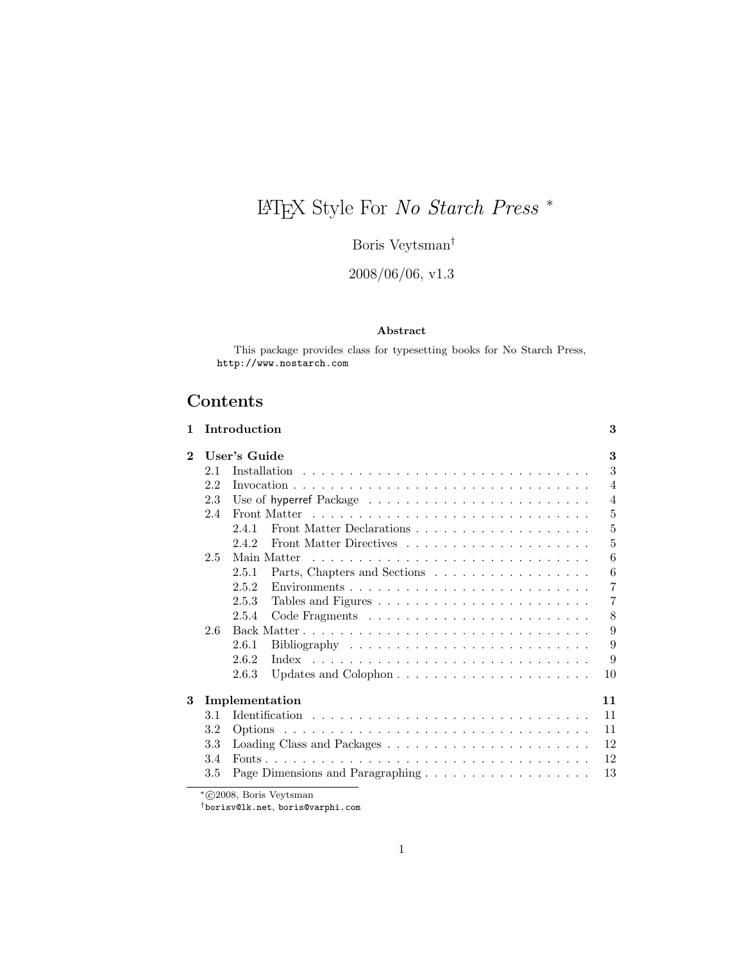# LATEX Style For No Starch Press <sup>∗</sup>

Boris Veytsman<sup>†</sup>

2008/06/06, v1.3

## Abstract

This package provides class for typesetting books for No Starch Press, <http://www.nostarch.com>

## Contents

| 1        |     | Introduction                                                                     | 3              |
|----------|-----|----------------------------------------------------------------------------------|----------------|
| $\bf{2}$ |     | User's Guide                                                                     | 3              |
|          | 2.1 | Installation                                                                     | 3              |
|          | 2.2 |                                                                                  | $\overline{4}$ |
|          | 2.3 |                                                                                  | $\overline{4}$ |
|          | 2.4 | Front Matter                                                                     | 5              |
|          |     | 241                                                                              | 5              |
|          |     | 2.4.2                                                                            | 5              |
|          | 2.5 | Main Matter                                                                      | 6              |
|          |     | Parts, Chapters and Sections<br>2.5.1                                            | 6              |
|          |     | 2.5.2<br>$Enviromments \ldots \ldots \ldots \ldots \ldots \ldots \ldots \ldots$  | 7              |
|          |     | 2.5.3                                                                            | 7              |
|          |     | 2.5.4                                                                            | 8              |
|          | 2.6 |                                                                                  | 9              |
|          |     | 2.6.1<br>Bibliography $\ldots \ldots \ldots \ldots \ldots \ldots \ldots \ldots$  | 9              |
|          |     | 2.6.2                                                                            | 9              |
|          |     | 2.6.3<br>Updates and Colophon $\ldots \ldots \ldots \ldots \ldots \ldots \ldots$ | 10             |
| 3        |     | Implementation                                                                   | 11             |
|          | 3.1 |                                                                                  | 11             |
|          | 3.2 |                                                                                  | 11             |
|          | 3.3 |                                                                                  | 12             |
|          | 3.4 |                                                                                  | 12             |
|          | 3.5 |                                                                                  | 13             |

\*©2008, Boris Veytsman

†[borisv@lk.net](mailto:borisv@lk.net), [boris@varphi.com](mailto:boris@varphi.com)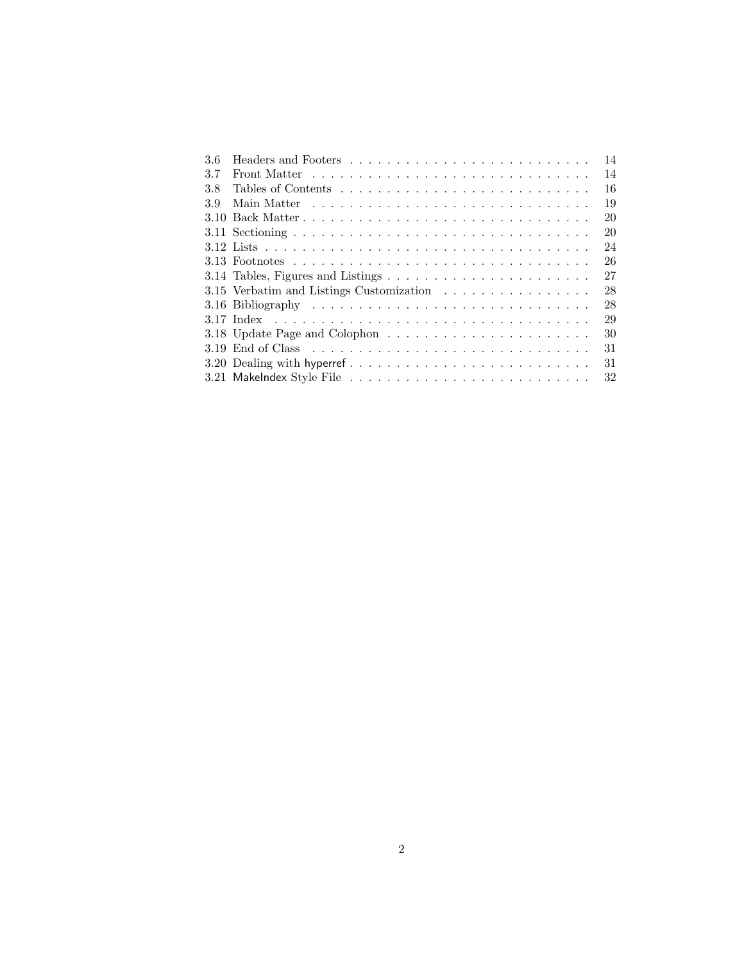| 3.6 |                                                                                     | 14 |
|-----|-------------------------------------------------------------------------------------|----|
| 3.7 |                                                                                     | 14 |
| 3.8 |                                                                                     | 16 |
| 3.9 |                                                                                     | 19 |
|     |                                                                                     | 20 |
|     |                                                                                     | 20 |
|     |                                                                                     | 24 |
|     |                                                                                     | 26 |
|     | 3.14 Tables, Figures and Listings $\dots \dots \dots \dots \dots \dots \dots \dots$ | 27 |
|     | 3.15 Verbatim and Listings Customization                                            | 28 |
|     |                                                                                     | 28 |
|     |                                                                                     | 29 |
|     |                                                                                     | 30 |
|     |                                                                                     | 31 |
|     |                                                                                     | 31 |
|     |                                                                                     | 32 |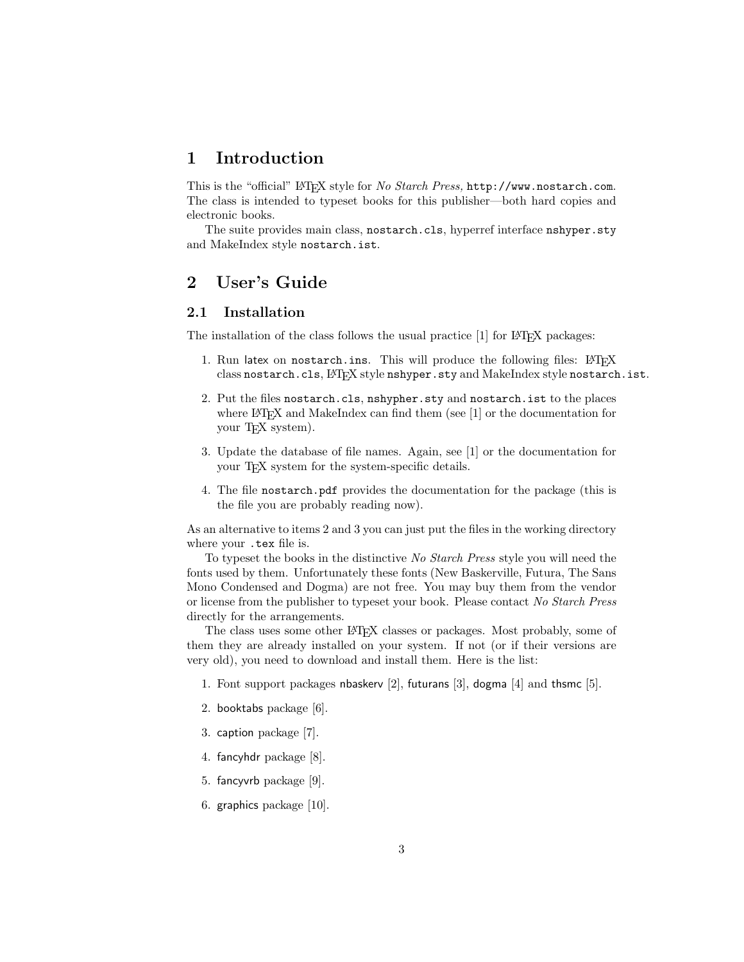## <span id="page-2-0"></span>1 Introduction

This is the "official" LATEX style for No Starch Press, <http://www.nostarch.com>. The class is intended to typeset books for this publisher—both hard copies and electronic books.

The suite provides main class, nostarch.cls, hyperref interface nshyper.sty and MakeIndex style nostarch.ist.

## <span id="page-2-1"></span>2 User's Guide

## <span id="page-2-2"></span>2.1 Installation

The installation of the class follows the usual practice  $[1]$  for L<sup>AT</sup>EX packages:

- 1. Run latex on nostarch.ins. This will produce the following files: LATFX class nostarch.cls, LATEX style nshyper.sty and MakeIndex style nostarch.ist.
- <span id="page-2-3"></span>2. Put the files nostarch.cls, nshypher.sty and nostarch.ist to the places where LAT<sub>E</sub>X and MakeIndex can find them (see [\[1\]](#page-32-0) or the documentation for your T<sub>E</sub>X system).
- <span id="page-2-4"></span>3. Update the database of file names. Again, see [\[1\]](#page-32-0) or the documentation for your T<sub>E</sub>X system for the system-specific details.
- 4. The file nostarch.pdf provides the documentation for the package (this is the file you are probably reading now).

As an alternative to items [2](#page-2-3) and [3](#page-2-4) you can just put the files in the working directory where your .tex file is.

To typeset the books in the distinctive No Starch Press style you will need the fonts used by them. Unfortunately these fonts (New Baskerville, Futura, The Sans Mono Condensed and Dogma) are not free. You may buy them from the vendor or license from the publisher to typeset your book. Please contact No Starch Press directly for the arrangements.

The class uses some other LATEX classes or packages. Most probably, some of them they are already installed on your system. If not (or if their versions are very old), you need to download and install them. Here is the list:

- 1. Font support packages nbaskerv [\[2\]](#page-32-1), futurans [\[3\]](#page-32-2), dogma [\[4\]](#page-32-3) and thsmc [\[5\]](#page-32-4).
- 2. booktabs package [\[6\]](#page-32-5).
- 3. caption package [\[7\]](#page-32-6).
- 4. fancyhdr package [\[8\]](#page-32-7).
- 5. fancyvrb package [\[9\]](#page-32-8).
- 6. graphics package [\[10\]](#page-32-9).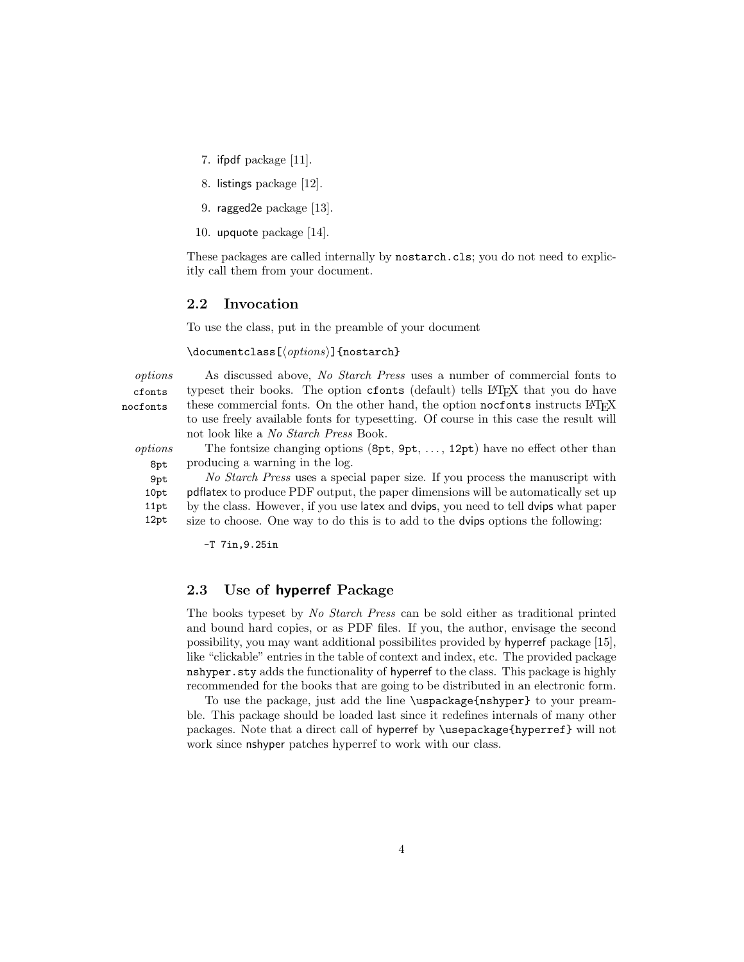- 7. ifpdf package [\[11\]](#page-32-10).
- 8. listings package [\[12\]](#page-32-11).
- 9. ragged2e package [\[13\]](#page-32-12).
- 10. upquote package [\[14\]](#page-32-13).

These packages are called internally by nostarch.cls; you do not need to explicitly call them from your document.

#### <span id="page-3-0"></span>2.2 Invocation

To use the class, put in the preamble of your document

\documentclass[ $\langle options \rangle$ ]{nostarch}

cfonts nocfonts

options As discussed above, No Starch Press uses a number of commercial fonts to typeset their books. The option cfonts (default) tells LAT<sub>EX</sub> that you do have these commercial fonts. On the other hand, the option nocfonts instructs LAT<sub>E</sub>X to use freely available fonts for typesetting. Of course in this case the result will not look like a No Starch Press Book.

8pt

9pt 10pt 11pt 12pt

*options* The fontsize changing options  $(8pt, 9pt, \ldots, 12pt)$  have no effect other than producing a warning in the log.

No Starch Press uses a special paper size. If you process the manuscript with pdflatex to produce PDF output, the paper dimensions will be automatically set up by the class. However, if you use latex and dvips, you need to tell dvips what paper size to choose. One way to do this is to add to the dvips options the following:

-T 7in,9.25in

## <span id="page-3-1"></span>2.3 Use of hyperref Package

The books typeset by No Starch Press can be sold either as traditional printed and bound hard copies, or as PDF files. If you, the author, envisage the second possibility, you may want additional possibilites provided by hyperref package [\[15\]](#page-33-0), like "clickable" entries in the table of context and index, etc. The provided package nshyper.sty adds the functionality of hyperref to the class. This package is highly recommended for the books that are going to be distributed in an electronic form.

To use the package, just add the line \uspackage{nshyper} to your preamble. This package should be loaded last since it redefines internals of many other packages. Note that a direct call of hyperref by \usepackage{hyperref} will not work since nshyper patches hyperref to work with our class.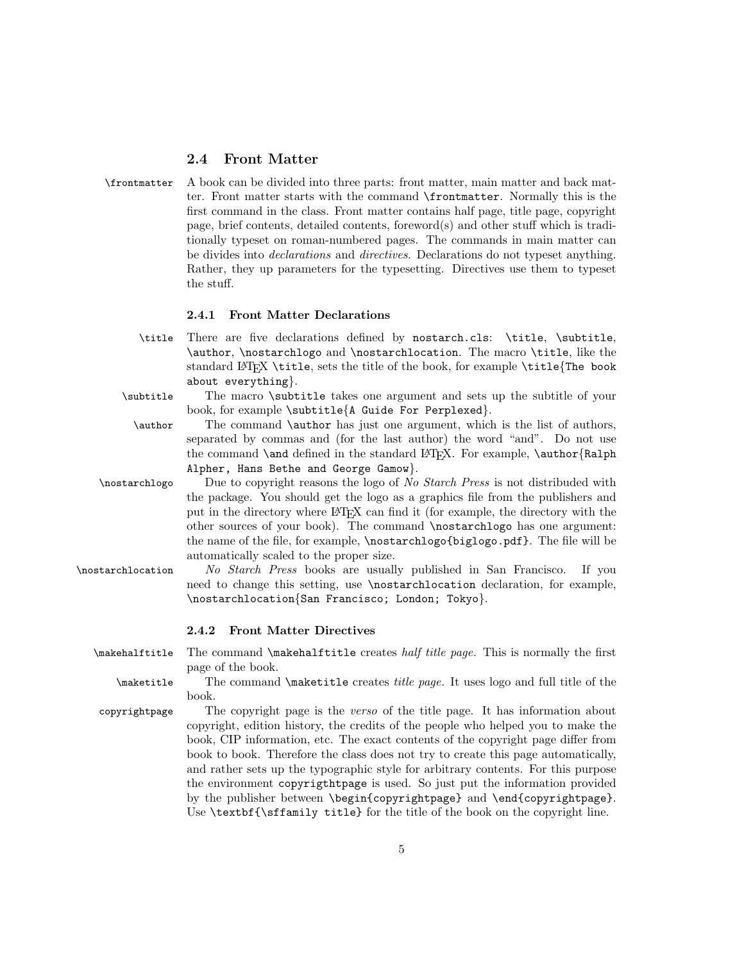## <span id="page-4-0"></span>2.4 Front Matter

| \frontmatter A book can be divided into three parts: front matter, main matter and back mat-      |
|---------------------------------------------------------------------------------------------------|
| ter. Front matter starts with the command <b>\frontmatter</b> . Normally this is the              |
| first command in the class. Front matter contains half page, title page, copyright                |
| page, brief contents, detailed contents, foreword(s) and other stuff which is tradi-              |
| tionally typeset on roman-numbered pages. The commands in main matter can                         |
| be divides into <i>declarations</i> and <i>directives</i> . Declarations do not typeset anything. |
| Rather, they up parameters for the typesetting. Directives use them to typeset                    |
| the stuff.                                                                                        |

## <span id="page-4-1"></span>2.4.1 Front Matter Declarations

| \title There are five declarations defined by nostarch.cls: \title, \subtitle,              |
|---------------------------------------------------------------------------------------------|
| \author, \nostarchlogo and \nostarchlocation. The macro \title, like the                    |
| standard LAT <sub>R</sub> X \title, sets the title of the book, for example \title{The book |
| about everything}.                                                                          |

| \subtitle | The macro <i>subtitle takes</i> one argument and sets up the subtitle of your |
|-----------|-------------------------------------------------------------------------------|
|           | book, for example \subtitle{A Guide For Perplexed}.                           |

| \author | The command \author has just one argument, which is the list of authors,                 |
|---------|------------------------------------------------------------------------------------------|
|         | separated by commas and (for the last author) the word "and". Do not use                 |
|         | the command <b>\and</b> defined in the standard LATFX. For example, <b>\author{Ralph</b> |
|         | Alpher, Hans Bethe and George Gamow}.                                                    |

\nostarchlogo Due to copyright reasons the logo of No Starch Press is not distribuded with the package. You should get the logo as a graphics file from the publishers and put in the directory where LATEX can find it (for example, the directory with the other sources of your book). The command \nostarchlogo has one argument: the name of the file, for example, \nostarchlogo{biglogo.pdf}. The file will be automatically scaled to the proper size.

\nostarchlocation No Starch Press books are usually published in San Francisco. If you need to change this setting, use \nostarchlocation declaration, for example, \nostarchlocation{San Francisco; London; Tokyo}.

#### <span id="page-4-2"></span>2.4.2 Front Matter Directives

\makehalftitle The command \makehalftitle creates half title page. This is normally the first page of the book.

\maketitle The command \maketitle creates title page. It uses logo and full title of the book.

copyrightpage The copyright page is the verso of the title page. It has information about copyright, edition history, the credits of the people who helped you to make the book, CIP information, etc. The exact contents of the copyright page differ from book to book. Therefore the class does not try to create this page automatically, and rather sets up the typographic style for arbitrary contents. For this purpose the environment copyrigthtpage is used. So just put the information provided by the publisher between \begin{copyrightpage} and \end{copyrightpage}. Use \textbf{\sffamily title} for the title of the book on the copyright line.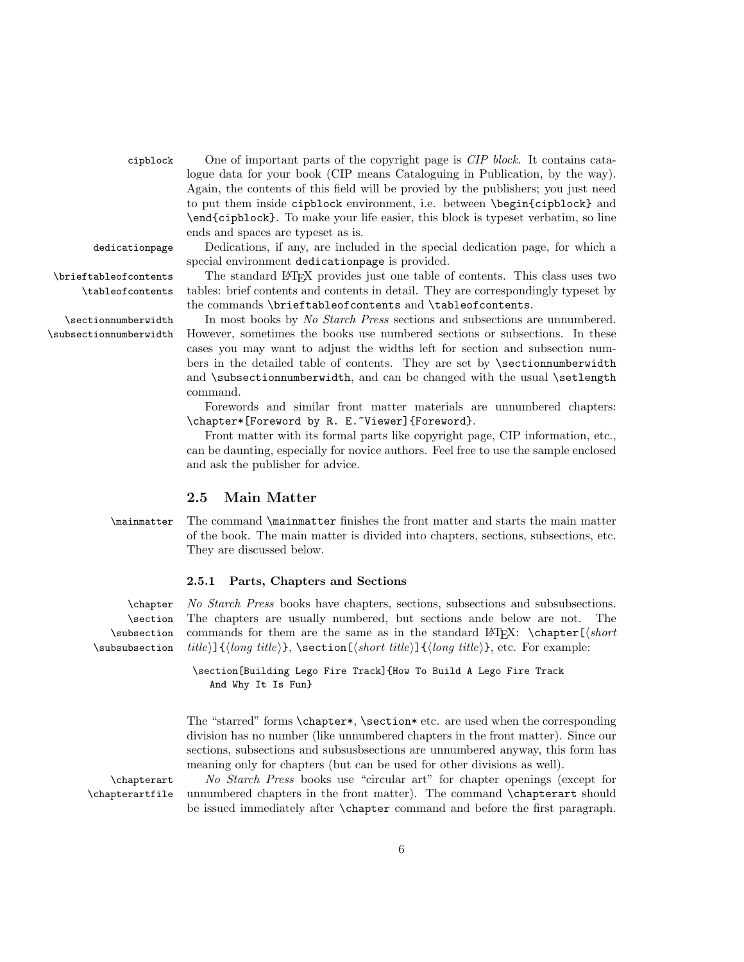cipblock One of important parts of the copyright page is CIP block. It contains catalogue data for your book (CIP means Cataloguing in Publication, by the way). Again, the contents of this field will be provied by the publishers; you just need to put them inside cipblock environment, i.e. between \begin{cipblock} and \end{cipblock}. To make your life easier, this block is typeset verbatim, so line ends and spaces are typeset as is.

dedicationpage Dedications, if any, are included in the special dedication page, for which a special environment dedicationpage is provided.

\brieftableofcontents The standard LATEX provides just one table of contents. This class uses two \tableofcontents tables: brief contents and contents in detail. They are correspondingly typeset by the commands \brieftableofcontents and \tableofcontents.

\sectionnumberwidth In most books by No Starch Press sections and subsections are unnumbered. \subsectionnumberwidth However, sometimes the books use numbered sections or subsections. In these cases you may want to adjust the widths left for section and subsection numbers in the detailed table of contents. They are set by **\sectionnumberwidth** and \subsectionnumberwidth, and can be changed with the usual \setlength command.

> Forewords and similar front matter materials are unnumbered chapters: \chapter\*[Foreword by R. E.~Viewer]{Foreword}.

> Front matter with its formal parts like copyright page, CIP information, etc., can be daunting, especially for novice authors. Feel free to use the sample enclosed and ask the publisher for advice.

## <span id="page-5-0"></span>2.5 Main Matter

\mainmatter The command \mainmatter finishes the front matter and starts the main matter of the book. The main matter is divided into chapters, sections, subsections, etc. They are discussed below.

#### <span id="page-5-1"></span>2.5.1 Parts, Chapters and Sections

\section \subsection \subsubsection

\chapter No Starch Press books have chapters, sections, subsections and subsubsections. The chapters are usually numbered, but sections ande below are not. The commands for them are the same as in the standard LATEX:  $\ch{sqrt(short)}$ title)] $\{\langle long\ title \rangle\}, \ \text{section}[\langle short\ title \rangle]\{\langle long\ title \rangle\}, \ \text{etc. For example:}$ 

> \section[Building Lego Fire Track]{How To Build A Lego Fire Track And Why It Is Fun}

The "starred" forms \chapter\*, \section\* etc. are used when the corresponding division has no number (like unnumbered chapters in the front matter). Since our sections, subsections and subsusbsections are unnumbered anyway, this form has meaning only for chapters (but can be used for other divisions as well).

\chapterart No Starch Press books use "circular art" for chapter openings (except for \chapterartfile unnumbered chapters in the front matter). The command \chapterart should be issued immediately after \chapter command and before the first paragraph.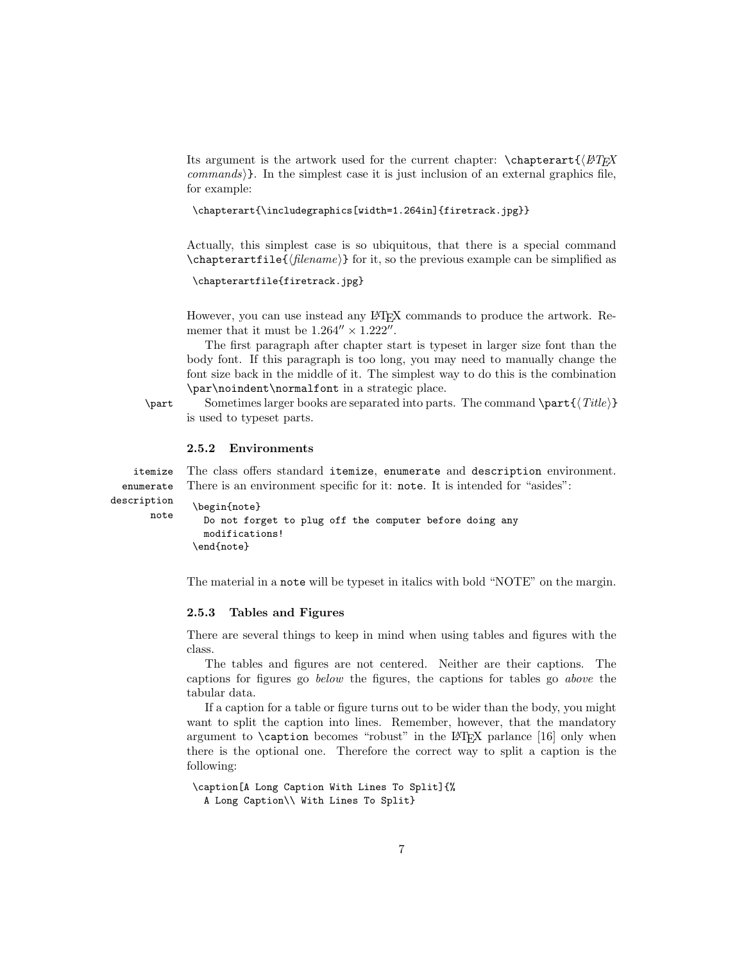Its argument is the artwork used for the current chapter:  $\ch{E\sqrt{H-K}}$  $commands$ . In the simplest case it is just inclusion of an external graphics file, for example:

```
\chapterart{\includegraphics[width=1.264in]{firetrack.jpg}}
```
Actually, this simplest case is so ubiquitous, that there is a special command  $\ch$ apterartfile{ $\{filename\}$  for it, so the previous example can be simplified as

```
\chapterartfile{firetrack.jpg}
```
However, you can use instead any LAT<sub>EX</sub> commands to produce the artwork. Rememer that it must be  $1.264'' \times 1.222''$ .

The first paragraph after chapter start is typeset in larger size font than the body font. If this paragraph is too long, you may need to manually change the font size back in the middle of it. The simplest way to do this is the combination \par\noindent\normalfont in a strategic place.

 $\partial \partial \partial \partial \partial f$  Sometimes larger books are separated into parts. The command  $\partial \partial f$ is used to typeset parts.

#### <span id="page-6-0"></span>2.5.2 Environments

itemize The class offers standard itemize, enumerate and description environment. enumerate There is an environment specific for it: note. It is intended for "asides":

```
description
       note
```
\begin{note} Do not forget to plug off the computer before doing any modifications! \end{note}

The material in a note will be typeset in italics with bold "NOTE" on the margin.

#### <span id="page-6-1"></span>2.5.3 Tables and Figures

There are several things to keep in mind when using tables and figures with the class.

The tables and figures are not centered. Neither are their captions. The captions for figures go below the figures, the captions for tables go above the tabular data.

If a caption for a table or figure turns out to be wider than the body, you might want to split the caption into lines. Remember, however, that the mandatory argument to  $\cosh$  becomes "robust" in the LAT<sub>EX</sub> parlance [\[16\]](#page-33-1) only when there is the optional one. Therefore the correct way to split a caption is the following:

```
\caption[A Long Caption With Lines To Split]{%
  A Long Caption\\ With Lines To Split}
```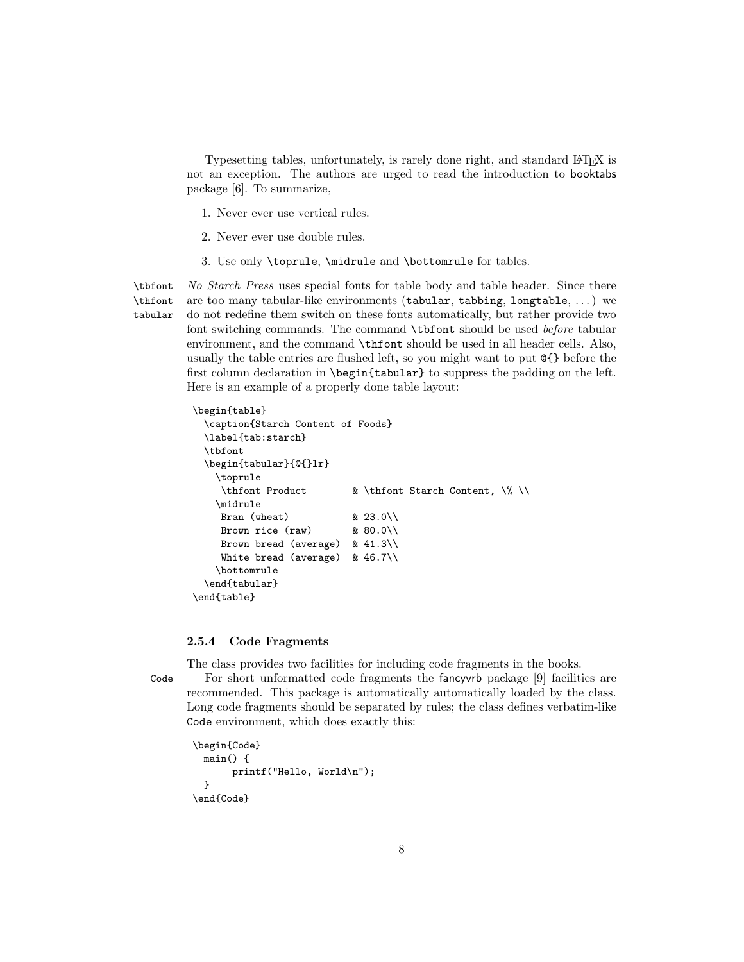Typesetting tables, unfortunately, is rarely done right, and standard LATEX is not an exception. The authors are urged to read the introduction to booktabs package [\[6\]](#page-32-5). To summarize,

- 1. Never ever use vertical rules.
- 2. Never ever use double rules.
- 3. Use only \toprule, \midrule and \bottomrule for tables.

\tbfont No Starch Press uses special fonts for table body and table header. Since there \thfont tabular are too many tabular-like environments (tabular, tabbing, longtable, . . . ) we do not redefine them switch on these fonts automatically, but rather provide two font switching commands. The command \tbfont should be used before tabular environment, and the command \thfont should be used in all header cells. Also, usually the table entries are flushed left, so you might want to put @{} before the first column declaration in \begin{tabular} to suppress the padding on the left. Here is an example of a properly done table layout:

```
\begin{table}
  \caption{Starch Content of Foods}
 \label{tab:starch}
 \tbfont
 \begin{tabular}{@{}lr}
   \toprule
    \thfont Product & \thfont Starch Content, \% \\
   \midrule
    Bran (wheat) \& 23.0\\
    Brown rice (raw) & 80.0\\
    Brown bread (average) & 41.3\\
    White bread (average) & 46.7\%\bottomrule
  \end{tabular}
\end{table}
```
#### <span id="page-7-0"></span>2.5.4 Code Fragments

The class provides two facilities for including code fragments in the books.

Code For short unformatted code fragments the fancyvrb package [\[9\]](#page-32-8) facilities are recommended. This package is automatically automatically loaded by the class. Long code fragments should be separated by rules; the class defines verbatim-like Code environment, which does exactly this:

```
\begin{Code}
  main() {
       printf("Hello, World\n");
  }
\end{Code}
```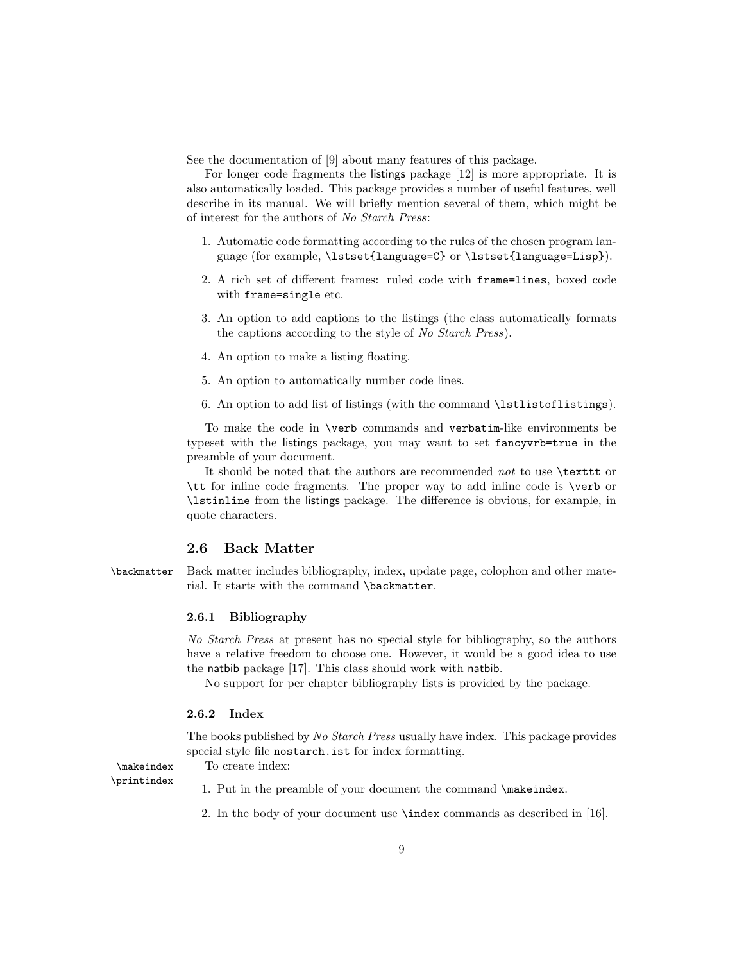See the documentation of [\[9\]](#page-32-8) about many features of this package.

For longer code fragments the listings package [\[12\]](#page-32-11) is more appropriate. It is also automatically loaded. This package provides a number of useful features, well describe in its manual. We will briefly mention several of them, which might be of interest for the authors of No Starch Press:

- 1. Automatic code formatting according to the rules of the chosen program language (for example, \lstset{language=C} or \lstset{language=Lisp}).
- 2. A rich set of different frames: ruled code with frame=lines, boxed code with frame=single etc.
- 3. An option to add captions to the listings (the class automatically formats the captions according to the style of No Starch Press).
- 4. An option to make a listing floating.
- 5. An option to automatically number code lines.
- 6. An option to add list of listings (with the command \lstlistoflistings).

To make the code in \verb commands and verbatim-like environments be typeset with the listings package, you may want to set fancyvrb=true in the preamble of your document.

It should be noted that the authors are recommended not to use \texttt or \tt for inline code fragments. The proper way to add inline code is \verb or \lstinline from the listings package. The difference is obvious, for example, in quote characters.

#### <span id="page-8-0"></span>2.6 Back Matter

\backmatter Back matter includes bibliography, index, update page, colophon and other material. It starts with the command \backmatter.

#### <span id="page-8-1"></span>2.6.1 Bibliography

No Starch Press at present has no special style for bibliography, so the authors have a relative freedom to choose one. However, it would be a good idea to use the natbib package [\[17\]](#page-33-2). This class should work with natbib.

No support for per chapter bibliography lists is provided by the package.

## <span id="page-8-2"></span>2.6.2 Index

The books published by No Starch Press usually have index. This package provides special style file nostarch.ist for index formatting.

\makeindex To create index: \printindex

- 1. Put in the preamble of your document the command \makeindex.
- 2. In the body of your document use \index commands as described in [\[16\]](#page-33-1).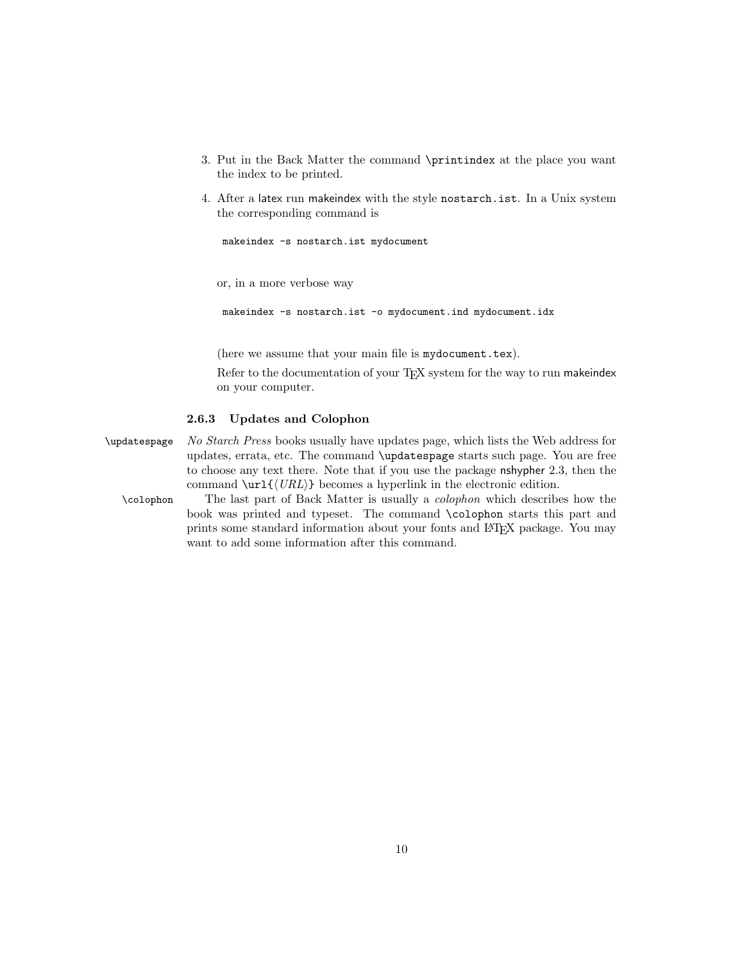- 3. Put in the Back Matter the command \printindex at the place you want the index to be printed.
- 4. After a latex run makeindex with the style nostarch.ist. In a Unix system the corresponding command is

makeindex -s nostarch.ist mydocument

or, in a more verbose way

makeindex -s nostarch.ist -o mydocument.ind mydocument.idx

(here we assume that your main file is mydocument.tex).

Refer to the documentation of your TEX system for the way to run makeindex on your computer.

#### <span id="page-9-0"></span>2.6.3 Updates and Colophon

\updatespage No Starch Press books usually have updates page, which lists the Web address for updates, errata, etc. The command \updatespage starts such page. You are free to choose any text there. Note that if you use the package nshypher [2.3,](#page-3-1) then the command  $\url\{\langle URL \rangle\}$  becomes a hyperlink in the electronic edition.

\colophon The last part of Back Matter is usually a colophon which describes how the book was printed and typeset. The command \colophon starts this part and prints some standard information about your fonts and LATEX package. You may want to add some information after this command.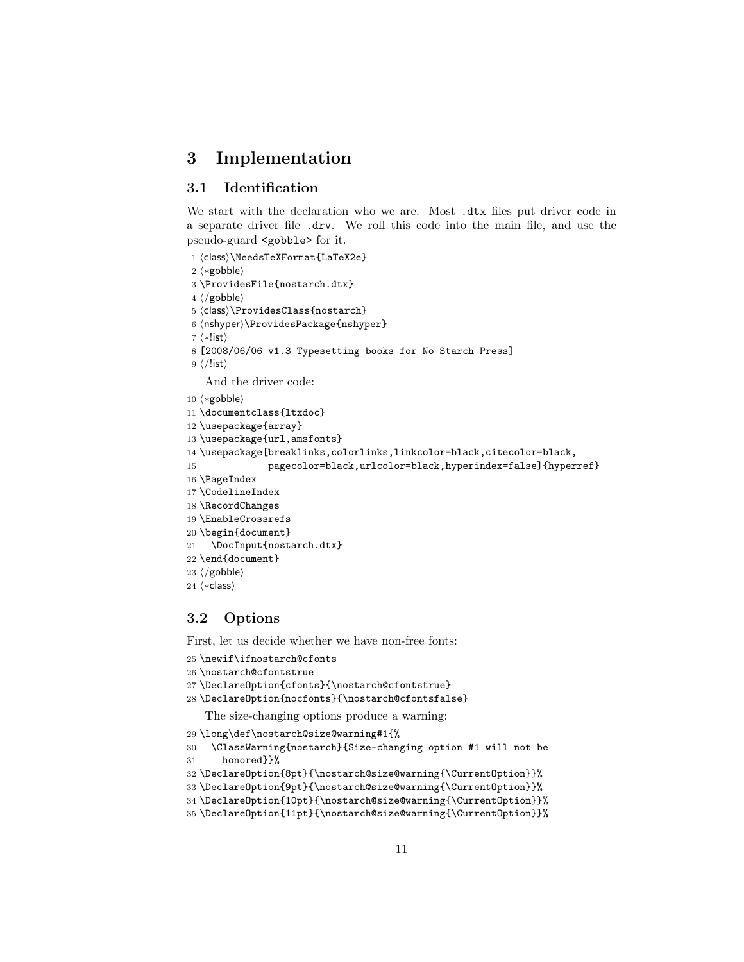## <span id="page-10-0"></span>3 Implementation

## <span id="page-10-1"></span>3.1 Identification

We start with the declaration who we are. Most .dtx files put driver code in a separate driver file .drv. We roll this code into the main file, and use the pseudo-guard <gobble> for it.

1 (class)\NeedsTeXFormat{LaTeX2e}  $\langle \ast \text{gobble} \rangle$  \ProvidesFile{nostarch.dtx}  $4 \langle /g_{\rm o}$ bble $\rangle$ 5 (class)\ProvidesClass{nostarch} 6 (nshyper)\ProvidesPackage{nshyper}  $\langle *!$ ist $\rangle$  [2008/06/06 v1.3 Typesetting books for No Starch Press]  $9 \langle$ /!ist $\rangle$ And the driver code:  $\langle \ast \text{gobble} \rangle$  \documentclass{ltxdoc} \usepackage{array} \usepackage{url,amsfonts} \usepackage[breaklinks,colorlinks,linkcolor=black,citecolor=black, pagecolor=black,urlcolor=black,hyperindex=false]{hyperref} \PageIndex \CodelineIndex \RecordChanges

- 19 \EnableCrossrefs
- 
- 20 \begin{document}
- 21 \DocInput{nostarch.dtx}
- 22 \end{document}
- 23  $\langle$ /gobble $\rangle$
- 24  $\langle *class \rangle$

## <span id="page-10-2"></span>3.2 Options

First, let us decide whether we have non-free fonts:

```
25 \newif\ifnostarch@cfonts
```

```
26 \nostarch@cfontstrue
```
27 \DeclareOption{cfonts}{\nostarch@cfontstrue}

28 \DeclareOption{nocfonts}{\nostarch@cfontsfalse}

The size-changing options produce a warning:

- 29 \long\def\nostarch@size@warning#1{%
- 30 \ClassWarning{nostarch}{Size-changing option #1 will not be 31 honored}}%
- 

```
32 \DeclareOption{8pt}{\nostarch@size@warning{\CurrentOption}}%
```

```
33 \DeclareOption{9pt}{\nostarch@size@warning{\CurrentOption}}%
```

```
34 \DeclareOption{10pt}{\nostarch@size@warning{\CurrentOption}}%
```

```
35 \DeclareOption{11pt}{\nostarch@size@warning{\CurrentOption}}%
```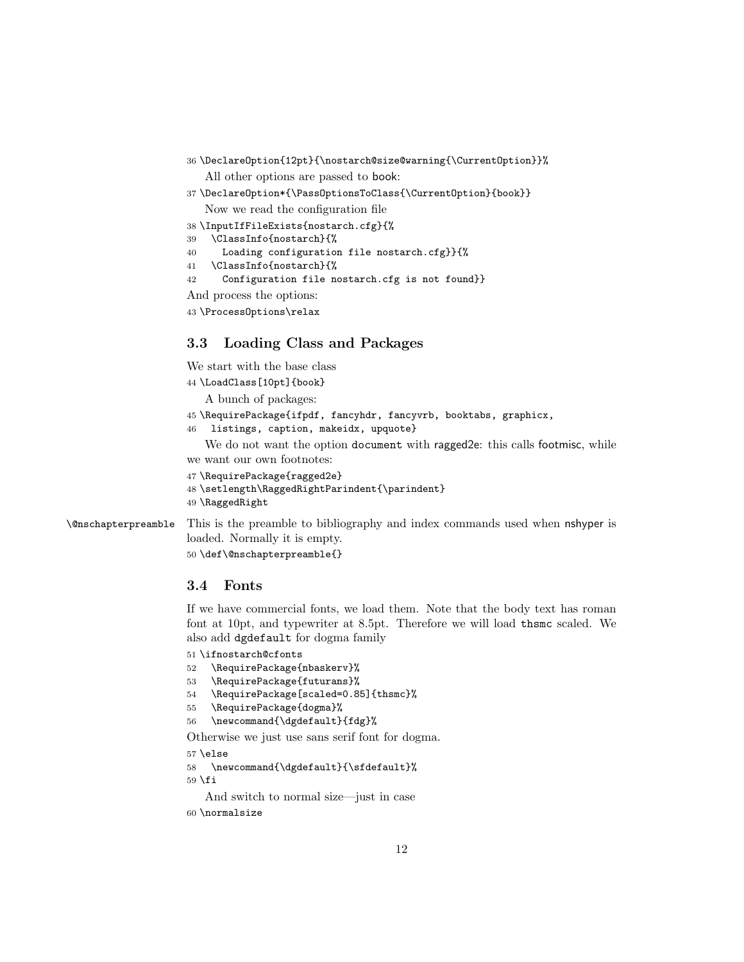- 36 \DeclareOption{12pt}{\nostarch@size@warning{\CurrentOption}}% All other options are passed to book:
- 37 \DeclareOption\*{\PassOptionsToClass{\CurrentOption}{book}}

Now we read the configuration file

- 38 \InputIfFileExists{nostarch.cfg}{% 39 \ClassInfo{nostarch}{%
- 40 Loading configuration file nostarch.cfg}}{%
- 41 \ClassInfo{nostarch}{%
- 42 Configuration file nostarch.cfg is not found}}

And process the options:

43 \ProcessOptions\relax

## <span id="page-11-0"></span>3.3 Loading Class and Packages

We start with the base class

```
44 \LoadClass[10pt]{book}
```
A bunch of packages:

- 45 \RequirePackage{ifpdf, fancyhdr, fancyvrb, booktabs, graphicx,
- 46 listings, caption, makeidx, upquote}

We do not want the option document with ragged2e: this calls footmisc, while we want our own footnotes:

```
47 \RequirePackage{ragged2e}
```

```
48 \setlength\RaggedRightParindent{\parindent}
```
49 \RaggedRight

\@nschapterpreamble This is the preamble to bibliography and index commands used when nshyper is

loaded. Normally it is empty. 50 \def\@nschapterpreamble{}

#### <span id="page-11-1"></span>3.4 Fonts

If we have commercial fonts, we load them. Note that the body text has roman font at 10pt, and typewriter at 8.5pt. Therefore we will load thsmc scaled. We also add dgdefault for dogma family

51 \ifnostarch@cfonts

- 52 \RequirePackage{nbaskerv}%
- 53 \RequirePackage{futurans}%
- 54 \RequirePackage[scaled=0.85]{thsmc}%
- 55 \RequirePackage{dogma}%
- 56 \newcommand{\dgdefault}{fdg}%

Otherwise we just use sans serif font for dogma.

57 \else

```
58 \newcommand{\dgdefault}{\sfdefault}%
59 \fi
```
And switch to normal size—just in case

```
60 \normalsize
```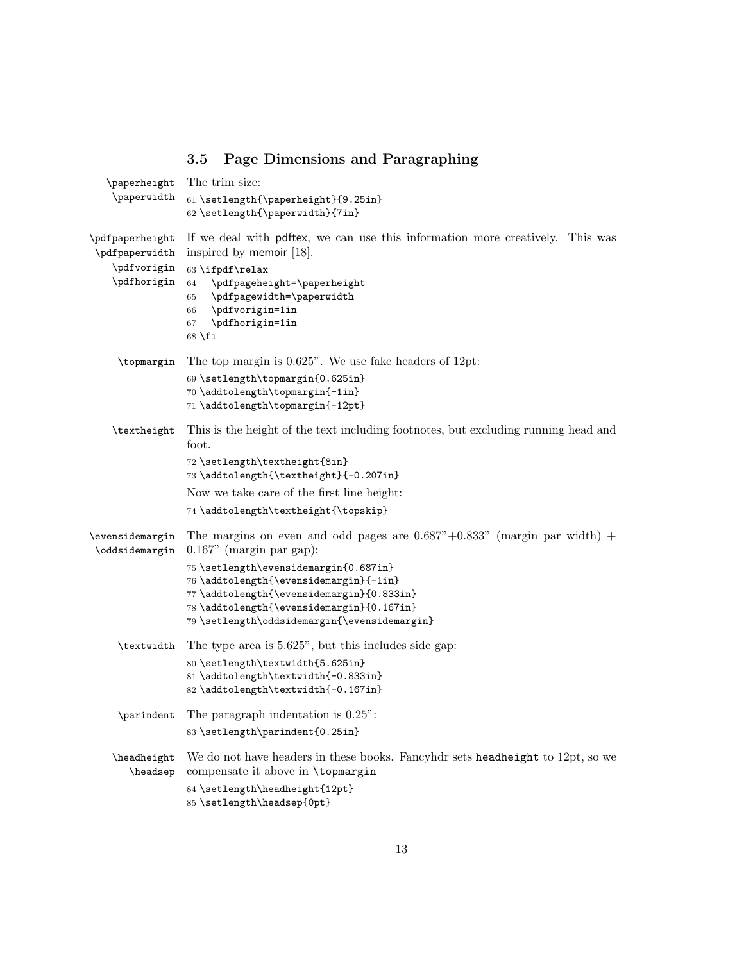## <span id="page-12-0"></span>3.5 Page Dimensions and Paragraphing

| \paperheight                      | The trim size:                                                                                                                                                                                                            |
|-----------------------------------|---------------------------------------------------------------------------------------------------------------------------------------------------------------------------------------------------------------------------|
| \paperwidth                       | 61 \setlength{\paperheight}{9.25in}<br>62 \setlength{\paperwidth}{7in}                                                                                                                                                    |
| \pdfpaperheight<br>\pdfpaperwidth | If we deal with politics, we can use this information more creatively. This was<br>inspired by memoir [18].                                                                                                               |
| \pdfvorigin<br>\pdfhorigin        | 63 \ifpdf\relax<br>\pdfpageheight=\paperheight<br>64<br>\pdfpagewidth=\paperwidth<br>65<br>\pdfvorigin=1in<br>66<br>\pdfhorigin=1in<br>67<br>$68$ \fi                                                                     |
| \topmargin                        | The top margin is $0.625$ ". We use fake headers of 12pt:                                                                                                                                                                 |
|                                   | 69\setlength\topmargin{0.625in}<br>70 \addtolength\topmargin{-1in}<br>71 \addtolength\topmargin{-12pt}                                                                                                                    |
| \textheight                       | This is the height of the text including footnotes, but excluding running head and<br>foot.                                                                                                                               |
|                                   | 72 \setlength\textheight{8in}<br>73 \addtolength{\textheight}{-0.207in}                                                                                                                                                   |
|                                   | Now we take care of the first line height:                                                                                                                                                                                |
|                                   | 74 \addtolength\textheight{\topskip}                                                                                                                                                                                      |
| \evensidemargin<br>\oddsidemargin | The margins on even and odd pages are $0.687" + 0.833"$ (margin par width) +<br>$0.167$ " (margin par gap):                                                                                                               |
|                                   | 75 \setlength\evensidemargin{0.687in}<br>76 \addtolength{\evensidemargin}{-1in}<br>77 \addtolength{\evensidemargin}{0.833in}<br>78 \addtolength{\evensidemargin}{0.167in}<br>79 \setlength\oddsidemargin{\evensidemargin} |
| \textwidth                        | The type area is $5.625$ ", but this includes side gap:                                                                                                                                                                   |
|                                   | 80 \setlength\textwidth{5.625in}<br>81 \addtolength\textwidth{-0.833in}<br>82 \addtolength\textwidth{-0.167in}                                                                                                            |
| \parindent                        | The paragraph indentation is $0.25$ ":                                                                                                                                                                                    |
|                                   | 83 \setlength\parindent{0.25in}                                                                                                                                                                                           |
| \headheight<br>\headsep           | We do not have headers in these books. Fancyhdr sets headheight to 12pt, so we<br>compensate it above in \topmargin<br>84 \setlength\headheight{12pt}<br>85 \setlength\headsep{0pt}                                       |
|                                   |                                                                                                                                                                                                                           |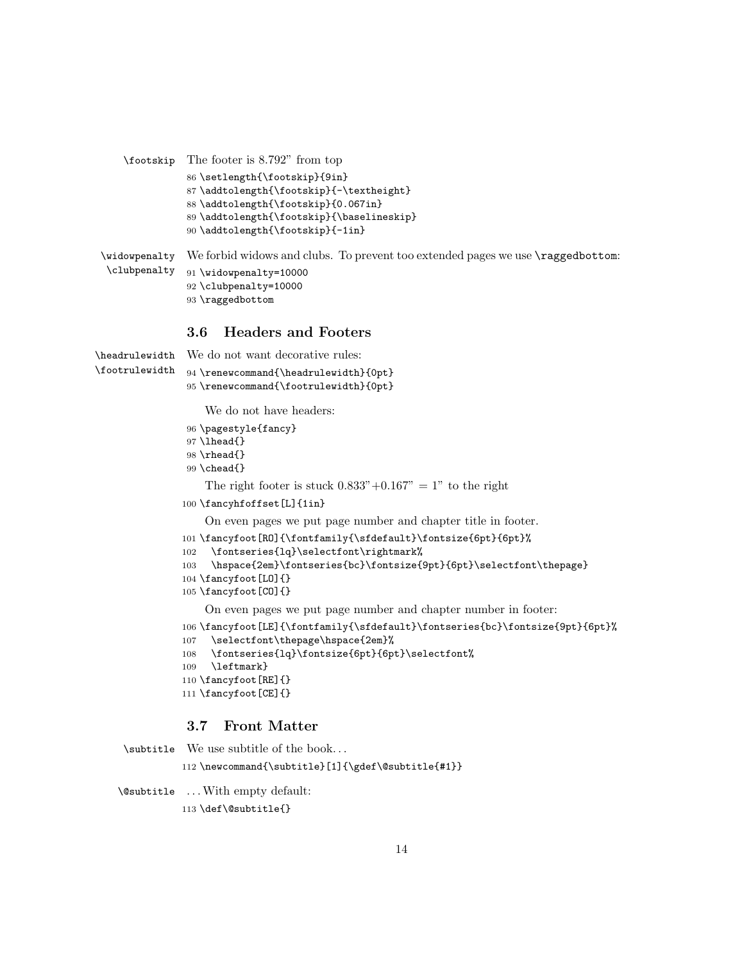```
\footskip The footer is 8.792" from top
               86 \setlength{\footskip}{9in}
               87 \addtolength{\footskip}{-\textheight}
               88 \addtolength{\footskip}{0.067in}
               89 \addtolength{\footskip}{\baselineskip}
               90 \addtolength{\footskip}{-1in}
\widowpenalty
We forbid widows and clubs. To prevent too extended pages we use \raggedbottom:
\clubpenalty
               91 \widowpenalty=10000
```
## \clubpenalty=10000 \raggedbottom

## <span id="page-13-0"></span>3.6 Headers and Footers

\headrulewidth We do not want decorative rules: \footrulewidth \renewcommand{\headrulewidth}{0pt} \renewcommand{\footrulewidth}{0pt} We do not have headers:

- \pagestyle{fancy}
- 97 \lhead{}
- \rhead{}
- \chead{}

The right footer is stuck  $0.833" + 0.167" = 1"$  to the right

\fancyhfoffset[L]{1in}

On even pages we put page number and chapter title in footer.

```
101 \fancyfoot[RO]{\fontfamily{\sfdefault}\fontsize{6pt}{6pt}%
```

```
102 \fontseries{lq}\selectfont\rightmark%
```

```
103 \hspace{2em}\fontseries{bc}\fontsize{9pt}{6pt}\selectfont\thepage}
```
\fancyfoot[LO]{}

```
105 \fancyfoot[CO]{}
```
On even pages we put page number and chapter number in footer:

```
106 \fancyfoot[LE]{\fontfamily{\sfdefault}\fontseries{bc}\fontsize{9pt}{6pt}%
```

```
107 \selectfont\thepage\hspace{2em}%
```

```
108 \fontseries{lq}\fontsize{6pt}{6pt}\selectfont%
```
\leftmark}

```
110 \fancyfoot[RE]{}
```

```
111 \fancyfoot[CE]{}
```
## <span id="page-13-1"></span>3.7 Front Matter

```
\subtitle We use subtitle of the book. . .
           112 \newcommand{\subtitle}[1]{\gdef\@subtitle{#1}}
\@subtitle . . .With empty default:
```
\def\@subtitle{}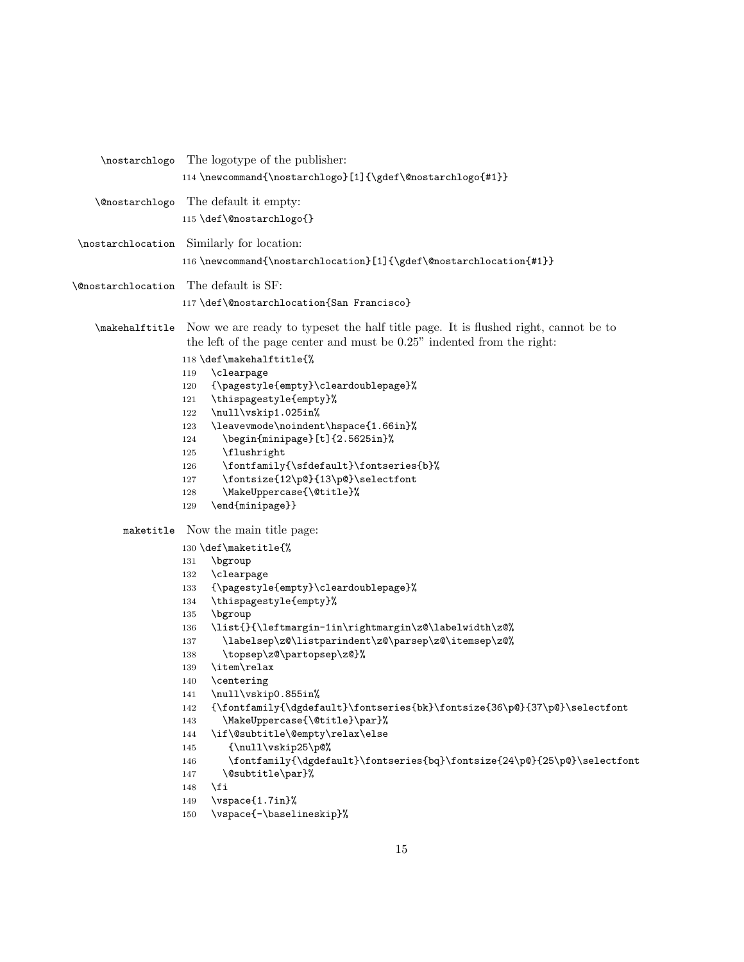|                                              | \nostarchlogo The logotype of the publisher:                                                      |
|----------------------------------------------|---------------------------------------------------------------------------------------------------|
|                                              | 114 \newcommand{\nostarchlogo}[1]{\gdef\@nostarchlogo{#1}}                                        |
|                                              |                                                                                                   |
| <i><u><b>©nostarchlogo</b></u></i>           | The default it empty:                                                                             |
|                                              | 115 \def\@nostarchlogo{}                                                                          |
|                                              |                                                                                                   |
|                                              | \nostarchlocation Similarly for location:                                                         |
|                                              | 116 \newcommand{\nostarchlocation}[1]{\gdef\@nostarchlocation{#1}}                                |
|                                              |                                                                                                   |
| <b>\@nostarchlocation</b> The default is SF: |                                                                                                   |
|                                              | 117 \def\@nostarchlocation{San Francisco}                                                         |
|                                              |                                                                                                   |
|                                              | \makehalftitle Now we are ready to typeset the half title page. It is flushed right, cannot be to |
|                                              | the left of the page center and must be 0.25" indented from the right:                            |
|                                              | 118 \def\makehalftitle{%                                                                          |
|                                              | \clearpage<br>119                                                                                 |
|                                              | {\pagestyle{empty}\cleardoublepage}%<br>120                                                       |
|                                              | \thispagestyle{empty}%<br>121                                                                     |
|                                              | \null\vskip1.025in%<br>122                                                                        |
|                                              | \leavevmode\noindent\hspace{1.66in}%<br>123                                                       |
|                                              | \begin{minipage}[t]{2.5625in}%<br>124                                                             |
|                                              | \flushright<br>125                                                                                |
|                                              | \fontfamily{\sfdefault}\fontseries{b}%<br>126                                                     |
|                                              | \fontsize{12\p@}{13\p@}\selectfont<br>127                                                         |
|                                              | \MakeUppercase{\@title}%<br>128                                                                   |
|                                              | \end{minipage}}<br>129                                                                            |
|                                              | maketitle Now the main title page:                                                                |
|                                              | 130 \def\maketitle{%                                                                              |
|                                              | \bgroup<br>131                                                                                    |
|                                              | \clearpage<br>132                                                                                 |
|                                              | {\pagestyle{empty}\cleardoublepage}%<br>133                                                       |
|                                              | \thispagestyle{empty}%<br>134                                                                     |
|                                              | \bgroup<br>135                                                                                    |
|                                              | \list{}{\leftmargin-1in\rightmargin\z@\labelwidth\z@%<br>136                                      |
|                                              | \labelsep\z@\listparindent\z@\parsep\z@\itemsep\z@%<br>137                                        |
|                                              | \topsep\z@\partopsep\z@}%<br>138                                                                  |
|                                              | \item\relax<br>139                                                                                |
|                                              | \centering<br>140                                                                                 |
|                                              | \null\vskip0.855in%<br>141                                                                        |
|                                              | {\fontfamily{\dgdefault}\fontseries{bk}\fontsize{36\p@}{37\p@}\selectfont<br>142                  |
|                                              | \MakeUppercase{\@title}\par}%<br>143                                                              |
|                                              | \if\@subtitle\@empty\relax\else<br>144                                                            |
|                                              | {\null\vskip25\p@%<br>145                                                                         |
|                                              | \fontfamily{\dgdefault}\fontseries{bq}\fontsize{24\p@}{25\p@}\selectfont<br>146                   |
|                                              | \@subtitle\par}%<br>147                                                                           |
|                                              | \fi<br>148                                                                                        |
|                                              | \vspace{1.7in}%<br>149                                                                            |
|                                              | \vspace{-\baselineskip}%<br>150                                                                   |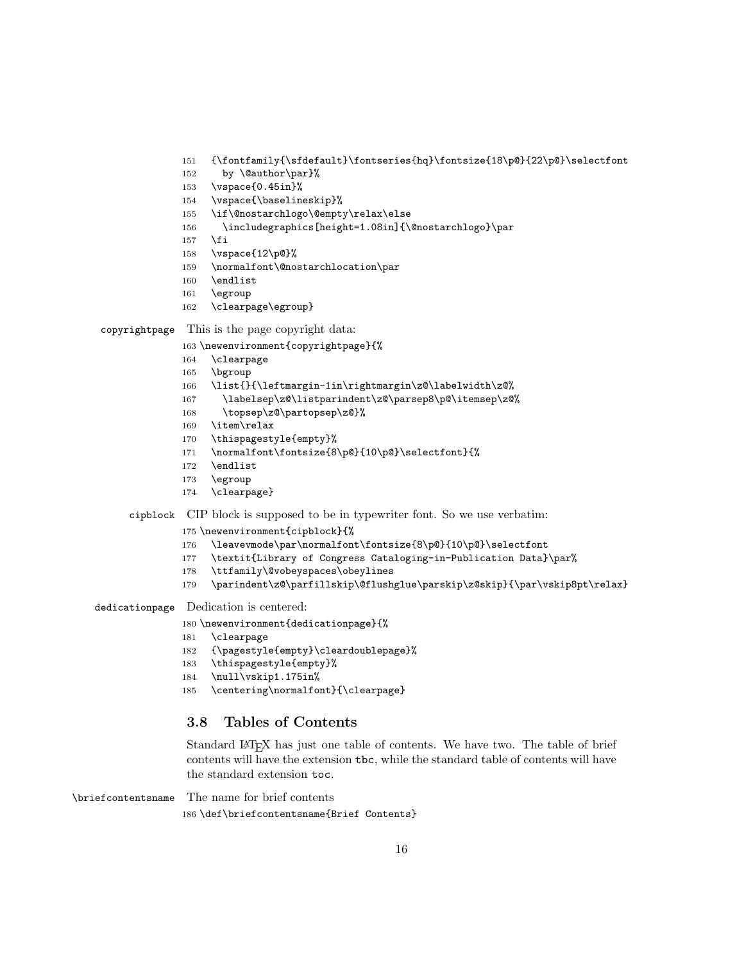- {\fontfamily{\sfdefault}\fontseries{hq}\fontsize{18\p@}{22\p@}\selectfont
- 152 by \@author\par}%
- \vspace{0.45in}%
- \vspace{\baselineskip}%
- \if\@nostarchlogo\@empty\relax\else
- \includegraphics[height=1.08in]{\@nostarchlogo}\par
- \fi
- \vspace{12\p@}%
- \normalfont\@nostarchlocation\par
- \endlist
- \egroup
- \clearpage\egroup}

#### copyrightpage This is the page copyright data:

- \newenvironment{copyrightpage}{%
- \clearpage
- \bgroup
- \list{}{\leftmargin-1in\rightmargin\z@\labelwidth\z@%
- 167 \labelsep\z@\listparindent\z@\parsep8\p@\itemsep\z@%
- \topsep\z@\partopsep\z@}%
- \item\relax
- \thispagestyle{empty}%
- \normalfont\fontsize{8\p@}{10\p@}\selectfont}{%
- \endlist
- \egroup
- \clearpage}

## cipblock CIP block is supposed to be in typewriter font. So we use verbatim:

\newenvironment{cipblock}{%

- \leavevmode\par\normalfont\fontsize{8\p@}{10\p@}\selectfont
- \textit{Library of Congress Cataloging-in-Publication Data}\par%
- \ttfamily\@vobeyspaces\obeylines
- \parindent\z@\parfillskip\@flushglue\parskip\z@skip}{\par\vskip8pt\relax}

#### dedicationpage Dedication is centered:

- \newenvironment{dedicationpage}{%
- \clearpage
- {\pagestyle{empty}\cleardoublepage}%
- \thispagestyle{empty}%
- \null\vskip1.175in%
- \centering\normalfont}{\clearpage}

## <span id="page-15-0"></span>3.8 Tables of Contents

Standard LATEX has just one table of contents. We have two. The table of brief contents will have the extension tbc, while the standard table of contents will have the standard extension toc.

\briefcontentsname The name for brief contents

\def\briefcontentsname{Brief Contents}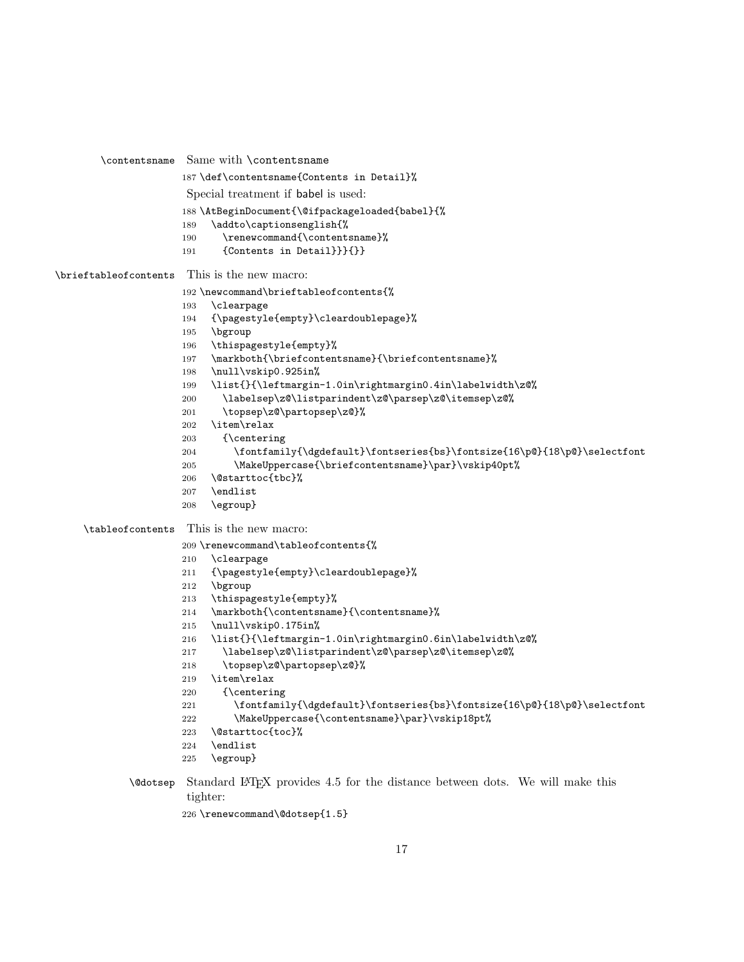```
\contentsname Same with \contentsname
                     187 \def\contentsname{Contents in Detail}%
                      Special treatment if babel is used:
                     188 \AtBeginDocument{\@ifpackageloaded{babel}{%
                     189 \addto\captionsenglish{%
                     190 \renewcommand{\contentsname}%
                     191 {Contents in Detail}}}{}}
\brieftableofcontents This is the new macro:
                     192 \newcommand\brieftableofcontents{%
                     193 \clearpage
                     194 {\pagestyle{empty}\cleardoublepage}%
                     195 \bgroup
                     196 \thispagestyle{empty}%
                     197 \markboth{\briefcontentsname}{\briefcontentsname}%
                     198 \null\vskip0.925in%
                     199 \list{}{\leftmargin-1.0in\rightmargin0.4in\labelwidth\z@%
                     200 \labelsep\z@\listparindent\z@\parsep\z@\itemsep\z@%
                     201 \topsep\z@\partopsep\z@}%
                     202 \item\relax
                     203 {\centering
                     204 \fontfamily{\dgdefault}\fontseries{bs}\fontsize{16\p@}{18\p@}\selectfont
                     205 \MakeUppercase{\briefcontentsname}\par}\vskip40pt%
                     206 \@starttoc{tbc}%
                     207 \endlist
                     208 \egroup}
    \tableofcontents This is the new macro:
                     209 \renewcommand\tableofcontents{%
                     210 \clearpage
                     211 {\pagestyle{empty}\cleardoublepage}%
                     212 \bgroup
                     213 \thispagestyle{empty}%
                     214 \markboth{\contentsname}{\contentsname}%
                     215 \null\vskip0.175in%
                     216 \list{}{\leftmargin-1.0in\rightmargin0.6in\labelwidth\z@%
                     217 \labelsep\z@\listparindent\z@\parsep\z@\itemsep\z@%
                     218 \topsep\z@\partopsep\z@}%
                     219 \item\relax
                     220 {\centering
                     221 \fontfamily{\dgdefault}\fontseries{bs}\fontsize{16\p@}{18\p@}\selectfont
                     222 \MakeUppercase{\contentsname}\par}\vskip18pt%
                     223 \@starttoc{toc}%
                     224 \endlist
                     225 \egroup}
```
\@dotsep Standard LATEX provides 4.5 for the distance between dots. We will make this tighter:

```
226 \renewcommand\@dotsep{1.5}
```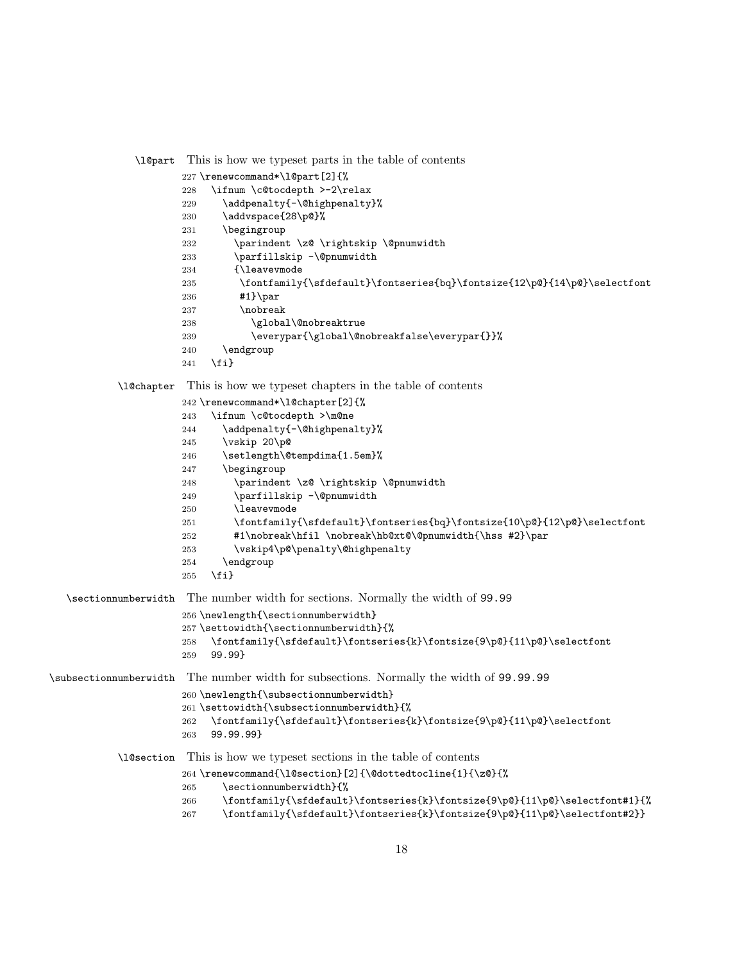```
\l@part This is how we typeset parts in the table of contents
```

```
227 \renewcommand*\l@part[2]{%
          228 \ifnum \c@tocdepth >-2\relax
          229 \addpenalty{-\@highpenalty}%
          230 \addvspace{28\p@}%
          231 \begingroup
          232 \parindent \z@ \rightskip \@pnumwidth
          233 \parfillskip -\@pnumwidth
          234 {\leavevmode
          235 \fontfamily{\sfdefault}\fontseries{bq}\fontsize{12\p@}{14\p@}\selectfont
          236 #1}\par
          237 \nobreak
          238 \global\@nobreaktrue
          239 \everypar{\global\@nobreakfalse\everypar{}}%
          240 \endgroup
          241 \fi}
\l@chapter This is how we typeset chapters in the table of contents
          242 \renewcommand*\l@chapter[2]{%
```

```
243 \ifnum \c@tocdepth >\m@ne
```

```
244 \addpenalty{-\@highpenalty}%
                      245 \vskip 20\p@
                      246 \setlength\@tempdima{1.5em}%
                      247 \begingroup
                      248 \parindent \z@ \rightskip \@pnumwidth
                      249 \parfillskip -\@pnumwidth
                      250 \leavevmode
                      251 \fontfamily{\sfdefault}\fontseries{bq}\fontsize{10\p@}{12\p@}\selectfont
                      252 #1\nobreak\hfil \nobreak\hb@xt@\@pnumwidth{\hss #2}\par
                      253 \vskip4\p@\penalty\@highpenalty
                      254 \endgroup
                      255 \{f_i\}\sectionnumberwidth The number width for sections. Normally the width of 99.99
                      256 \newlength{\sectionnumberwidth}
                      257 \settowidth{\sectionnumberwidth}{%
                      258 \fontfamily{\sfdefault}\fontseries{k}\fontsize{9\p@}{11\p@}\selectfont
                      259 99.99}
\subsectionnumberwidth The number width for subsections. Normally the width of 99.99.99
                      260 \newlength{\subsectionnumberwidth}
                      261 \settowidth{\subsectionnumberwidth}{%
                      262 \fontfamily{\sfdefault}\fontseries{k}\fontsize{9\p@}{11\p@}\selectfont
                      263 99.99.99}
           \l@section This is how we typeset sections in the table of contents
                      264 \renewcommand{\l@section}[2]{\@dottedtocline{1}{\z@}{%
                      265 \sectionnumberwidth}{%
                      266 \fontfamily{\sfdefault}\fontseries{k}\fontsize{9\p@}{11\p@}\selectfont#1}{%
                      267 \fontfamily{\sfdefault}\fontseries{k}\fontsize{9\p@}{11\p@}\selectfont#2}}
```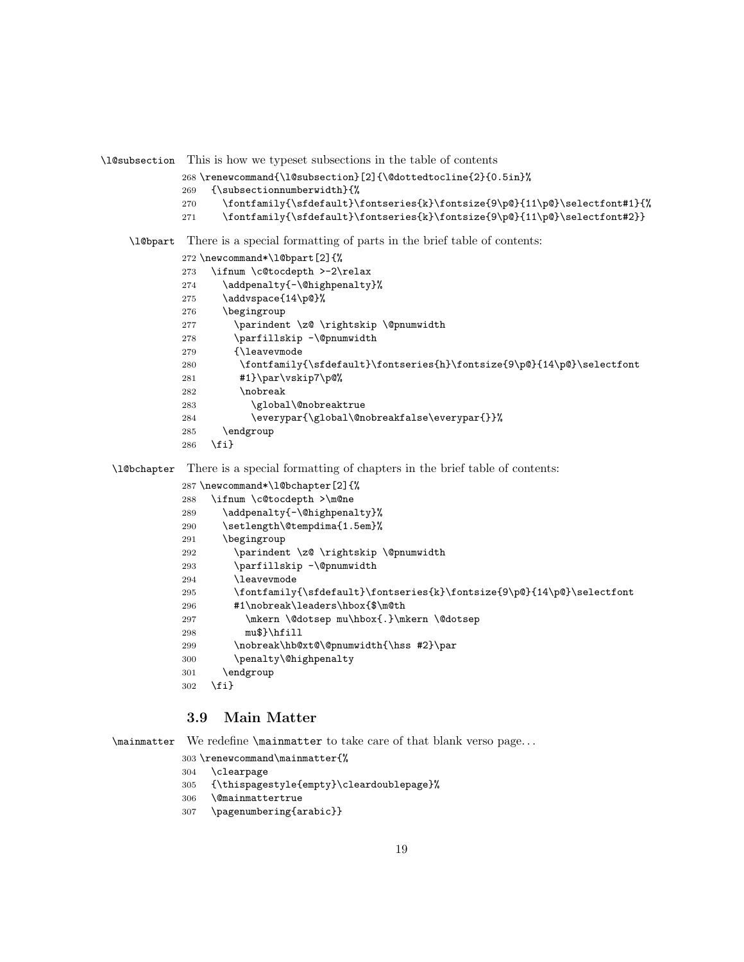\l@subsection This is how we typeset subsections in the table of contents

```
268 \renewcommand{\l@subsection}[2]{\@dottedtocline{2}{0.5in}%
```
- {\subsectionnumberwidth}{%
- 270 \fontfamily{\sfdefault}\fontseries{k}\fontsize{9\p@}{11\p@}\selectfont#1}{%
- \fontfamily{\sfdefault}\fontseries{k}\fontsize{9\p@}{11\p@}\selectfont#2}}

\l@bpart There is a special formatting of parts in the brief table of contents:

- \newcommand\*\l@bpart[2]{%
- \ifnum \c@tocdepth >-2\relax
- 274 \addpenalty{-\@highpenalty}%
- 275 \addvspace{14\p@}%
- \begingroup
- 277 \parindent \z@ \rightskip \@pnumwidth
- \parfillskip -\@pnumwidth
- {\leavevmode
- 280 \fontfamily{\sfdefault}\fontseries{h}\fontsize{9\p@}{14\p@}\selectfont
- #1}\par\vskip7\p@%
- \nobreak
- 283 \global\@nobreaktrue
- 284 \everypar{\global\@nobreakfalse\everypar{}}%
- \endgroup
- \fi}

\l@bchapter There is a special formatting of chapters in the brief table of contents:

```
287 \newcommand*\l@bchapter[2]{%
```
- \ifnum \c@tocdepth >\m@ne
- 289 \addpenalty{-\@highpenalty}%
- \setlength\@tempdima{1.5em}%
- \begingroup
- \parindent \z@ \rightskip \@pnumwidth
- \parfillskip -\@pnumwidth
- \leavevmode
- 295 \fontfamily{\sfdefault}\fontseries{k}\fontsize{9\p@}{14\p@}\selectfont
- #1\nobreak\leaders\hbox{\$\m@th
- 297 \mkern \@dotsep mu\hbox{.}\mkern \@dotsep
- mu\$}\hfill
- \nobreak\hb@xt@\@pnumwidth{\hss #2}\par
- \penalty\@highpenalty
- \endgroup
- \fi}

## <span id="page-18-0"></span>3.9 Main Matter

\mainmatter We redefine \mainmatter to take care of that blank verso page. . .

- \renewcommand\mainmatter{%
- \clearpage
- {\thispagestyle{empty}\cleardoublepage}%
- \@mainmattertrue
- \pagenumbering{arabic}}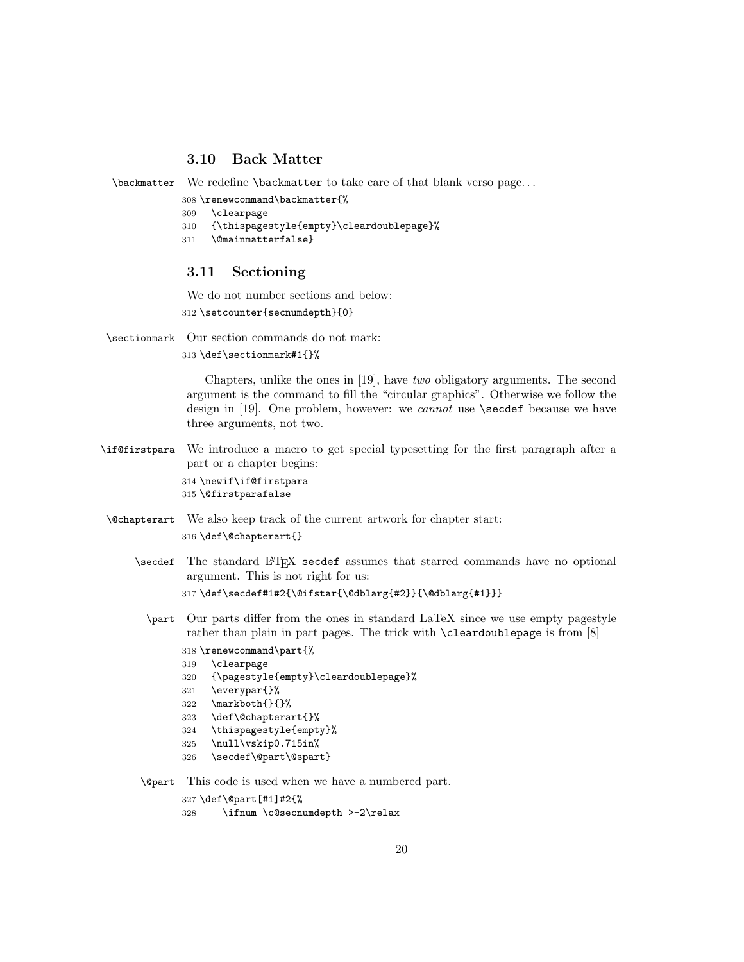## <span id="page-19-0"></span>3.10 Back Matter

\backmatter We redefine \backmatter to take care of that blank verso page. . .

- 308 \renewcommand\backmatter{%
- 309 \clearpage
- 310 {\thispagestyle{empty}\cleardoublepage}%
- 311 \@mainmatterfalse}

#### <span id="page-19-1"></span>3.11 Sectioning

We do not number sections and below:

312 \setcounter{secnumdepth}{0}

\sectionmark Our section commands do not mark:

313 \def\sectionmark#1{}%

Chapters, unlike the ones in [\[19\]](#page-33-4), have two obligatory arguments. The second argument is the command to fill the "circular graphics". Otherwise we follow the design in  $[19]$ . One problem, however: we *cannot* use **\secdef** because we have three arguments, not two.

\if@firstpara We introduce a macro to get special typesetting for the first paragraph after a part or a chapter begins:

> 314 \newif\if@firstpara 315 \@firstparafalse

\@chapterart We also keep track of the current artwork for chapter start:

316 \def\@chapterart{}

\secdef The standard LATEX secdef assumes that starred commands have no optional argument. This is not right for us:

```
317 \def\secdef#1#2{\@ifstar{\@dblarg{#2}}{\@dblarg{#1}}}
```
- \part Our parts differ from the ones in standard LaTeX since we use empty pagestyle rather than plain in part pages. The trick with \cleardoublepage is from [\[8\]](#page-32-7)
	- 318 \renewcommand\part{%
	- 319 \clearpage
	- 320 {\pagestyle{empty}\cleardoublepage}%
	- 321 \everypar{}%
	- 322 \markboth{}{}%
	- 323 \def\@chapterart{}%
	- 324 \thispagestyle{empty}%
	- 325 \null\vskip0.715in%
	- 326 \secdef\@part\@spart}

\@part This code is used when we have a numbered part.

- 327 \def\@part[#1]#2{%
- 328 \ifnum \c@secnumdepth >-2\relax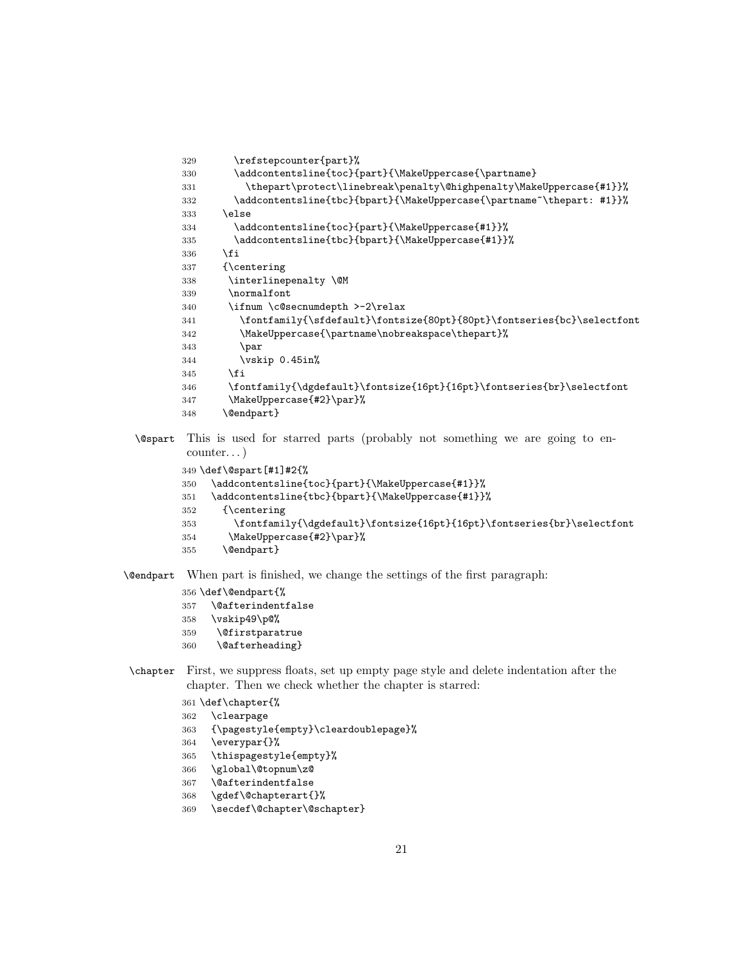```
329 \refstepcounter{part}%
330 \addcontentsline{toc}{part}{\MakeUppercase{\partname}
331 \thepart\protect\linebreak\penalty\@highpenalty\MakeUppercase{#1}}%
332 \verb|\addcontentsline{tbc}{bpart}{{\MakeUppercase}{\partial^{\theta^*}}$333 \else
334 \addcontentsline{toc}{part}{\MakeUppercase{#1}}%
335 \addcontentsline{tbc}{bpart}{\MakeUppercase{#1}}%
336 \fi
337 {\centering
338 \interlinepenalty \@M
339 \normalfont
340 \ifnum \c@secnumdepth >-2\relax
341 \fontfamily{\sfdefault}\fontsize{80pt}{80pt}\fontseries{bc}\selectfont
342 \MakeUppercase{\partname\nobreakspace\thepart}%
343 \par
344 \vskip 0.45in%
345 \fi
346 \fontfamily{\dgdefault}\fontsize{16pt}{16pt}\fontseries{br}\selectfont
347 \MakeUppercase{#2}\par}%
348 \@endpart}
```
\@spart This is used for starred parts (probably not something we are going to encounter. . . )

```
349 \def\@spart[#1]#2{%
350 \addcontentsline{toc}{part}{\MakeUppercase{#1}}%
351 \addcontentsline{tbc}{bpart}{\MakeUppercase{#1}}%
352 {\centering
353 \fontfamily{\dgdefault}\fontsize{16pt}{16pt}\fontseries{br}\selectfont
354 \MakeUppercase{#2}\par}%
355 \@endpart}
```
\@endpart When part is finished, we change the settings of the first paragraph:

- \def\@endpart{%
- \@afterindentfalse
- \vskip49\p@%
- \@firstparatrue
- \@afterheading}
- \chapter First, we suppress floats, set up empty page style and delete indentation after the chapter. Then we check whether the chapter is starred:
	- \def\chapter{%
	- \clearpage
	- {\pagestyle{empty}\cleardoublepage}%
	- \everypar{}%
	- \thispagestyle{empty}%
	- \global\@topnum\z@
	- \@afterindentfalse
	- \gdef\@chapterart{}%
	- \secdef\@chapter\@schapter}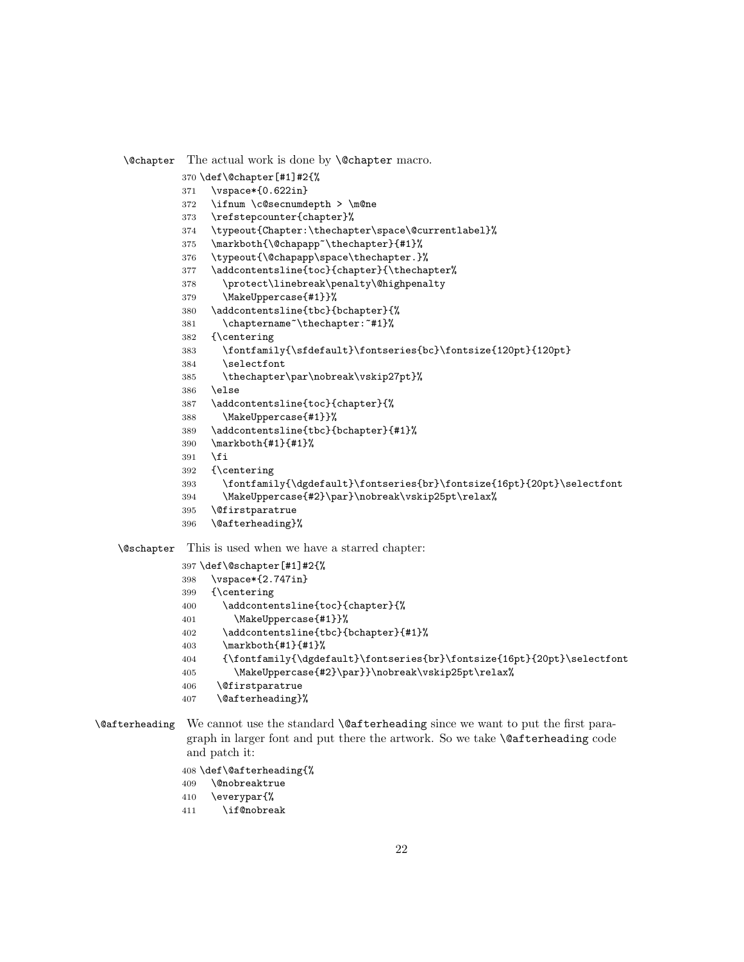\@chapter The actual work is done by \@chapter macro.

- \def\@chapter[#1]#2{%
- \vspace\*{0.622in}
- \ifnum \c@secnumdepth > \m@ne
- \refstepcounter{chapter}%
- \typeout{Chapter:\thechapter\space\@currentlabel}%
- \markboth{\@chapapp~\thechapter}{#1}%
- \typeout{\@chapapp\space\thechapter.}%
- \addcontentsline{toc}{chapter}{\thechapter%
- \protect\linebreak\penalty\@highpenalty
- \MakeUppercase{#1}}%
- \addcontentsline{tbc}{bchapter}{%
- 381 \chaptername<sup>~</sup>\thechapter:<sup>~#1}</sup>%
- {\centering
- \fontfamily{\sfdefault}\fontseries{bc}\fontsize{120pt}{120pt}
- \selectfont \thechapter\par\nobreak\vskip27pt}%
- \else
- \addcontentsline{toc}{chapter}{%
- \MakeUppercase{#1}}%
- \addcontentsline{tbc}{bchapter}{#1}%
- \markboth{#1}{#1}%
- \fi
- {\centering
- 393 \fontfamily{\dgdefault}\fontseries{br}\fontsize{16pt}{20pt}\selectfont
- \MakeUppercase{#2}\par}\nobreak\vskip25pt\relax%
- \@firstparatrue
- \@afterheading}%

\@schapter This is used when we have a starred chapter:

```
397 \def\@schapter[#1]#2{%
398 \vspace*{2.747in}
399 {\centering
400 \addcontentsline{toc}{chapter}{%
401 \MakeUppercase{#1}}%
402 \addcontentsline{tbc}{bchapter}{#1}%
403 \markboth{#1}{#1}%
404 {\fontfamily{\dgdefault}\fontseries{br}\fontsize{16pt}{20pt}\selectfont
405 \MakeUppercase{#2}\par}}\nobreak\vskip25pt\relax%
406 \@firstparatrue
407 \@afterheading}%
```
## \@afterheading We cannot use the standard \@afterheading since we want to put the first paragraph in larger font and put there the artwork. So we take \@afterheading code and patch it:

## \def\@afterheading{%

- \@nobreaktrue
- \everypar{%
- \if@nobreak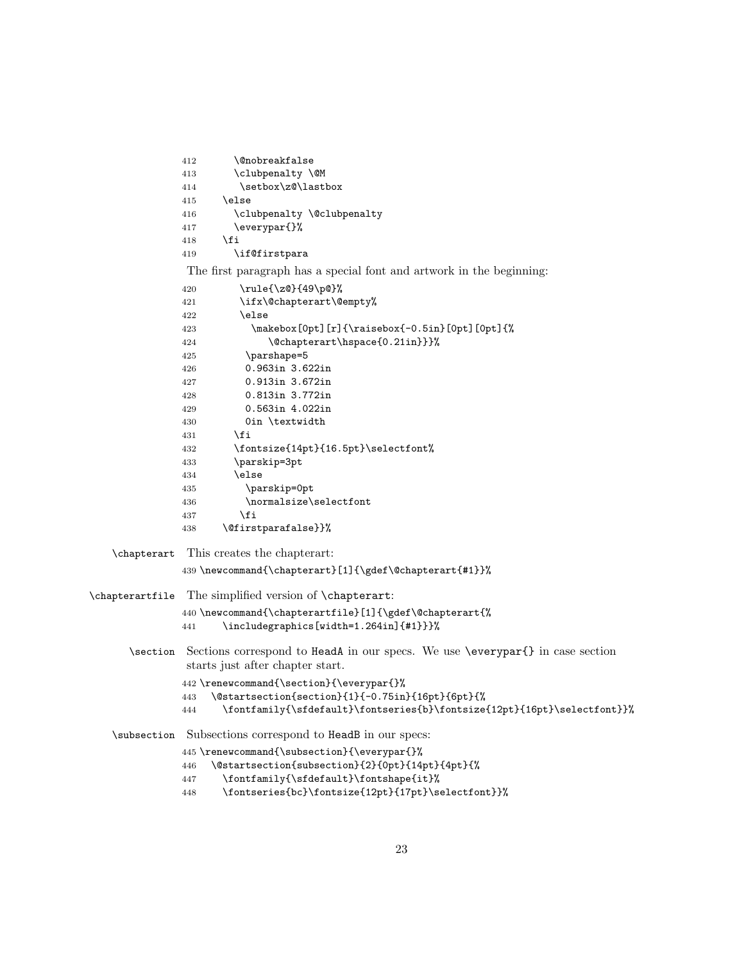```
412 \@nobreakfalse
              413 \clubpenalty \@M
              414 \setbox\z@\lastbox
              415 \else
              416 \clubpenalty \@clubpenalty
              417 \everypar{}%
              418 \fi
              419 \if@firstpara
               The first paragraph has a special font and artwork in the beginning:
              420 \rule{\z@}{49\p@}%
              421 \ifx\@chapterart\@empty%
              422 \else
              423 \makebox[0pt][r]{\raisebox{-0.5in}[0pt][0pt]{%
              424 \@chapterart\hspace{0.21in}}}%
              425 \parshape=5
              426 0.963in 3.622in
              427 0.913in 3.672in
              428 0.813in 3.772in
              429 0.563in 4.022in
              430 0in \textwidth
              431 \qquad \text{if}432 \fontsize{14pt}{16.5pt}\selectfont%
              433 \parskip=3pt
              434 \else
              435 \parskip=0pt
              436 \normalsize\selectfont
              437 \fi
              438 \@firstparafalse}}%
   \chapterart This creates the chapterart:
              439 \newcommand{\chapterart}[1]{\gdef\@chapterart{#1}}%
\chapterartfile The simplified version of \chapterart:
              440 \newcommand{\chapterartfile}[1]{\gdef\@chapterart{%
              441 \includegraphics[width=1.264in]{#1}}}%
      \section Sections correspond to HeadA in our specs. We use \everypar{} in case section
               starts just after chapter start.
              442 \renewcommand{\section}{\everypar{}%
              443 \@startsection{section}{1}{-0.75in}{16pt}{6pt}{%
              444 \fontfamily{\sfdefault}\fontseries{b}\fontsize{12pt}{16pt}\selectfont}}%
   \subsection Subsections correspond to HeadB in our specs:
              445 \renewcommand{\subsection}{\everypar{}%
              446 \@startsection{subsection}{2}{0pt}{14pt}{4pt}{%
              447 \fontfamily{\sfdefault}\fontshape{it}%
```
\fontseries{bc}\fontsize{12pt}{17pt}\selectfont}}%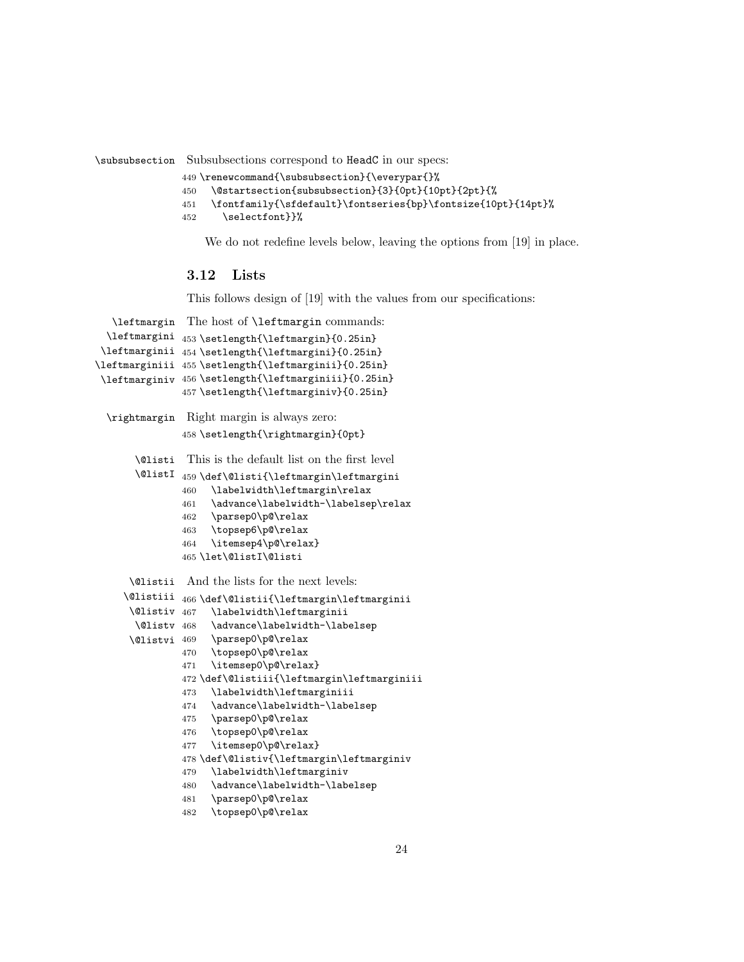\subsubsection Subsubsections correspond to HeadC in our specs:

```
449 \renewcommand{\subsubsection}{\everypar{}%
```

```
450 \@startsection{subsubsection}{3}{0pt}{10pt}{2pt}{%
```

```
451 \fontfamily{\sfdefault}\fontseries{bp}\fontsize{10pt}{14pt}%
```
452 \selectfont}}%

We do not redefine levels below, leaving the options from [\[19\]](#page-33-4) in place.

## <span id="page-23-0"></span>3.12 Lists

This follows design of [\[19\]](#page-33-4) with the values from our specifications:

```
\leftmargin
The host of \leftmargin commands:
  \leftmargini
453 \setlength{\leftmargin}{0.25in}
 \leftmarginii
454 \setlength{\leftmargini}{0.25in}
\leftmarginiii
455 \setlength{\leftmarginii}{0.25in}
 \leftmarginiv
456 \setlength{\leftmarginiii}{0.25in}
              457 \setlength{\leftmarginiv}{0.25in}
 \rightmargin Right margin is always zero:
              458 \setlength{\rightmargin}{0pt}
       \@listi
This is the default list on the first level
       \@listI
459 \def\@listi{\leftmargin\leftmargini
              460 \labelwidth\leftmargin\relax
              461 \advance\labelwidth-\labelsep\relax
              462 \parsep0\p@\relax
              463 \topsep6\p@\relax
              464 \itemsep4\p@\relax}
              465 \let\@listI\@listi
      \@listii
And the lists for the next levels:
     \@listiii
466 \def\@listii{\leftmargin\leftmarginii
     \@listiv
      \@listv
     \@listvi
                   \labelwidth\leftmarginii
                    \advance\labelwidth-\labelsep
                    \parsep0\p@\relax
              470 \topsep0\p@\relax
              471 \itemsep0\p@\relax}
              472 \def\@listiii{\leftmargin\leftmarginiii
              473 \labelwidth\leftmarginiii
              474 \advance\labelwidth-\labelsep
              475 \parsep0\p@\relax
              476 \topsep0\p@\relax
              477 \itemsep0\p@\relax}
              478 \def\@listiv{\leftmargin\leftmarginiv
              479 \labelwidth\leftmarginiv
              480 \advance\labelwidth-\labelsep
              481 \parsep0\p@\relax
              482 \topsep0\p@\relax
```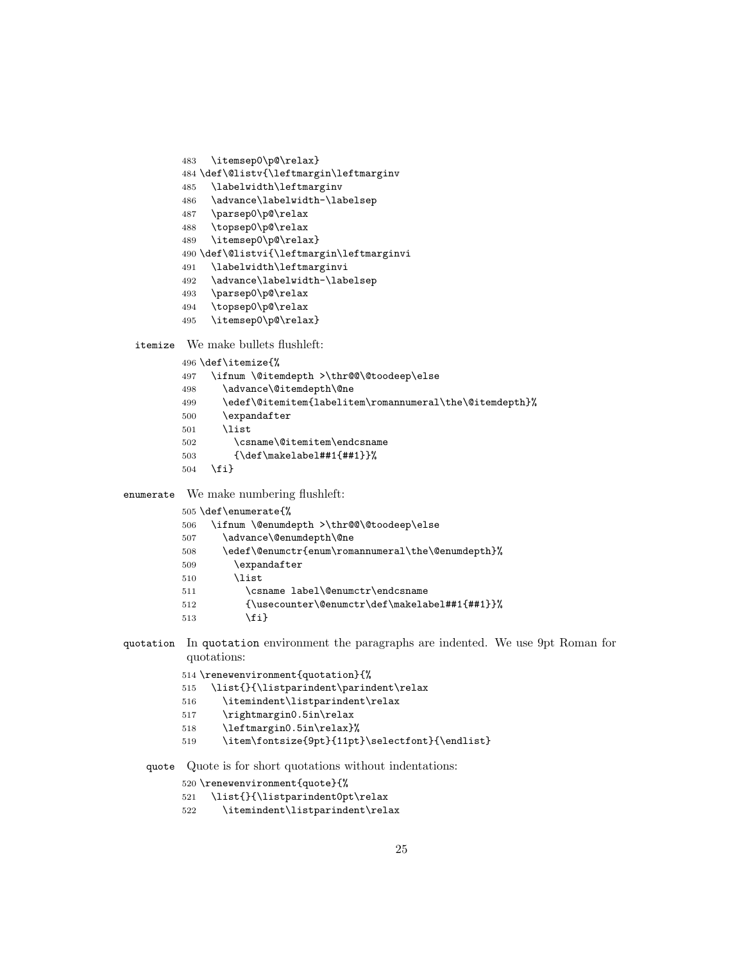- \itemsep0\p@\relax}
- \def\@listv{\leftmargin\leftmarginv
- \labelwidth\leftmarginv
- \advance\labelwidth-\labelsep
- \parsep0\p@\relax
- \topsep0\p@\relax
- \itemsep0\p@\relax}
- \def\@listvi{\leftmargin\leftmarginvi
- \labelwidth\leftmarginvi
- \advance\labelwidth-\labelsep
- \parsep0\p@\relax
- \topsep0\p@\relax
- \itemsep0\p@\relax}

itemize We make bullets flushleft:

- \def\itemize{%
- \ifnum \@itemdepth >\thr@@\@toodeep\else
- \advance\@itemdepth\@ne
- \edef\@itemitem{labelitem\romannumeral\the\@itemdepth}%
- \expandafter
- \list
- \csname\@itemitem\endcsname
- {\def\makelabel##1{##1}}%
- \fi}

enumerate We make numbering flushleft:

| 505 \def\enumerate{%                                |
|-----------------------------------------------------|
| \ifnum \@enumdepth >\thr@@\@toodeep\else            |
| \advance\@enumdepth\@ne                             |
| \edef\@enumctr{enum\romannumeral\the\@enumdepth}%   |
| $\exp{andafter}$                                    |
| <b>\list</b>                                        |
| \csname label\@enumctr\endcsname                    |
| ${\text{\textcirc}(\text{def}\text{label#1}_{\#1}}$ |
| \fi}                                                |
|                                                     |

quotation In quotation environment the paragraphs are indented. We use 9pt Roman for quotations:

```
514 \renewenvironment{quotation}{%
```
- \list{}{\listparindent\parindent\relax
- \itemindent\listparindent\relax
- \rightmargin0.5in\relax
- \leftmargin0.5in\relax}%
- 519 \item\fontsize{9pt}{11pt}\selectfont}{\endlist}

quote Quote is for short quotations without indentations:

```
520 \renewenvironment{quote}{%
```

```
521 \list{}{\listparindent0pt\relax
```
\itemindent\listparindent\relax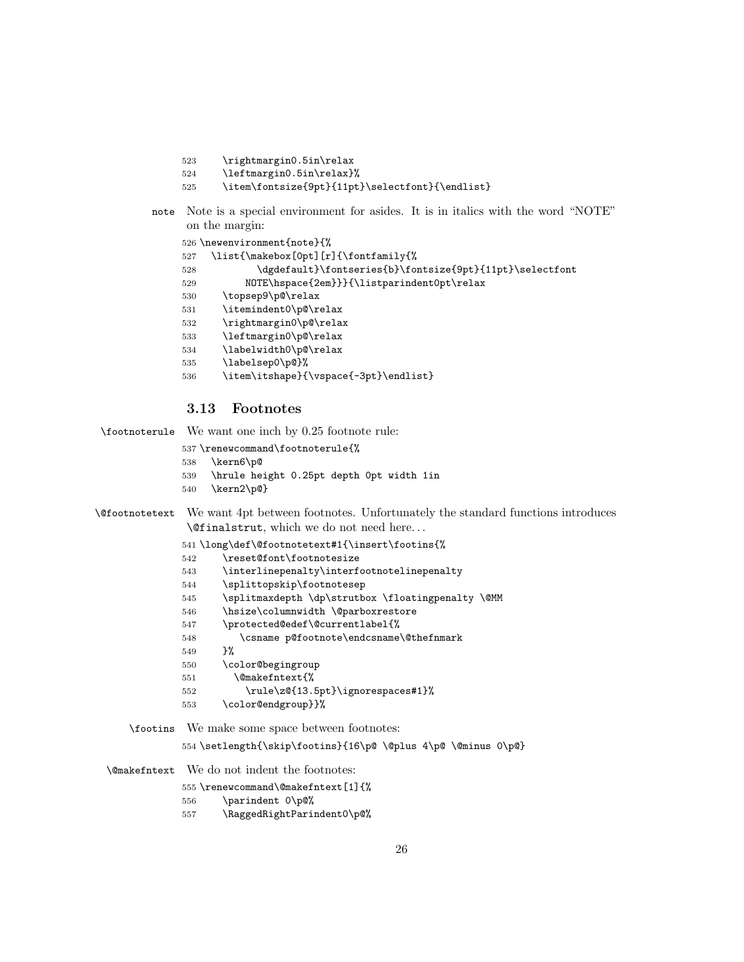- \rightmargin0.5in\relax
- \leftmargin0.5in\relax}%

```
525 \item\fontsize{9pt}{11pt}\selectfont}{\endlist}
```
note Note is a special environment for asides. It is in italics with the word "NOTE" on the margin:

```
526 \newenvironment{note}{%
527 \list{\makebox[0pt][r]{\fontfamily{%
528 \dgdefault}\fontseries{b}\fontsize{9pt}{11pt}\selectfont
529 NOTE\hspace{2em}}}{\listparindent0pt\relax
530 \topsep9\p@\relax
531 \itemindent0\p@\relax
532 \rightmargin0\p@\relax
533 \leftmargin0\p@\relax
534 \labelwidth0\p@\relax
535 \labelsep0\p@}%
536 \item\itshape}{\vspace{-3pt}\endlist}
```
## <span id="page-25-0"></span>3.13 Footnotes

\footnoterule We want one inch by 0.25 footnote rule:

\renewcommand\footnoterule{%

- \kern6\p@
- \hrule height 0.25pt depth 0pt width 1in
- \kern2\p@}

```
\@footnotetext We want 4pt between footnotes. Unfortunately the standard functions introduces
                \@finalstrut, which we do not need here. . .
```

```
541 \long\def\@footnotetext#1{\insert\footins{%
```
- \reset@font\footnotesize
- \interlinepenalty\interfootnotelinepenalty
- \splittopskip\footnotesep
- 545 \splitmaxdepth \dp\strutbox \floatingpenalty \@MM
- \hsize\columnwidth \@parboxrestore
- \protected@edef\@currentlabel{%
- \csname p@footnote\endcsname\@thefnmark
- }%
- \color@begingroup
- \@makefntext{%
- \rule\z@{13.5pt}\ignorespaces#1}%
- \color@endgroup}}%

\footins We make some space between footnotes:

\setlength{\skip\footins}{16\p@ \@plus 4\p@ \@minus 0\p@}

\@makefntext We do not indent the footnotes:

```
555 \renewcommand\@makefntext[1]{%
```
- \parindent 0\p@%
- \RaggedRightParindent0\p@%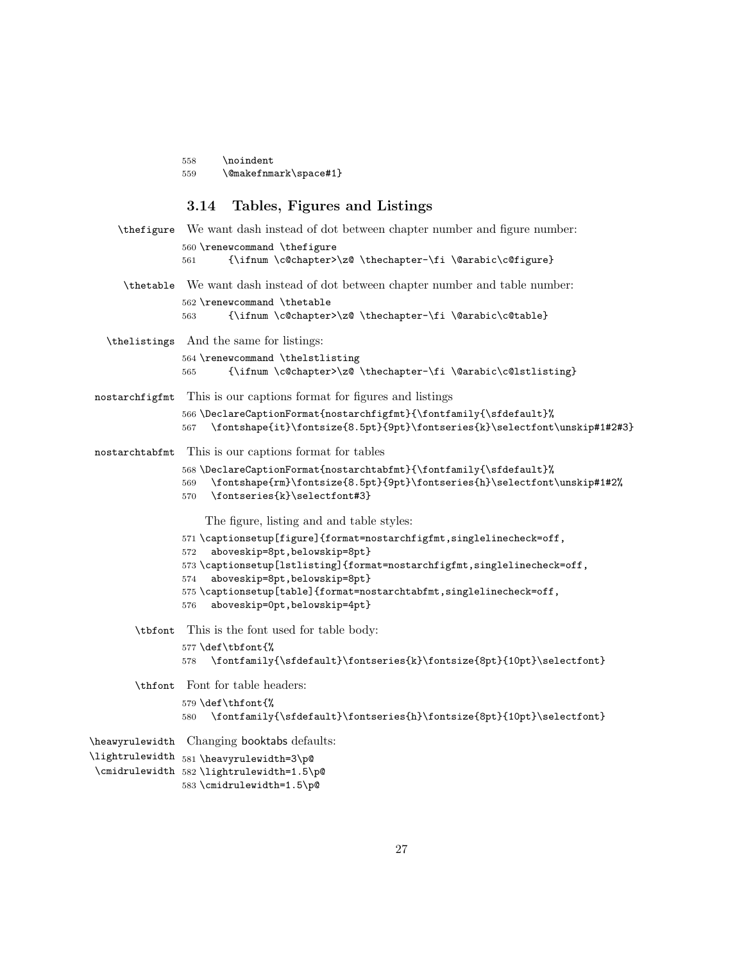|                 | \@makefnmark\space#1}<br>559                                                                                                                                                                                       |
|-----------------|--------------------------------------------------------------------------------------------------------------------------------------------------------------------------------------------------------------------|
|                 | Tables, Figures and Listings<br>3.14                                                                                                                                                                               |
| \thefigure      | We want dash instead of dot between chapter number and figure number:                                                                                                                                              |
|                 | 560 \renewcommand \thefigure<br>{\ifnum \c@chapter>\z@ \thechapter-\fi \@arabic\c@figure}<br>561                                                                                                                   |
| \thetable       | We want dash instead of dot between chapter number and table number:                                                                                                                                               |
|                 | 562 \renewcommand \thetable<br>{\ifnum \c@chapter>\z@ \thechapter-\fi \@arabic\c@table}<br>563                                                                                                                     |
| \thelistings    | And the same for listings:                                                                                                                                                                                         |
|                 | 564 \renewcommand \thelstlisting<br>{\ifnum \c@chapter>\z@ \thechapter-\fi \@arabic\c@lstlisting}<br>565                                                                                                           |
| nostarchfigfmt  | This is our captions format for figures and listings                                                                                                                                                               |
|                 | 566 \DeclareCaptionFormat{nostarchfigfmt}{\fontfamily{\sfdefault}%<br>\fontshape{it}\fontsize{8.5pt}{9pt}\fontseries{k}\selectfont\unskip#1#2#3}<br>567                                                            |
| nostarchtabfmt  | This is our captions format for tables                                                                                                                                                                             |
|                 | 568 \DeclareCaptionFormat{nostarchtabfmt}{\fontfamily{\sfdefault}%<br>$\mathcal{m}\fontshape\{rm\}$ \fontsize $\{8.5pt\}$ {9pt}\fontseries{h}\selectfont\unskip#1#2%<br>569<br>\fontseries{k}\selectfont#3}<br>570 |
|                 | The figure, listing and and table styles:                                                                                                                                                                          |
|                 | 571 \captionsetup[figure]{format=nostarchfigfmt,singlelinecheck=off,                                                                                                                                               |
|                 | aboveskip=8pt, belowskip=8pt}<br>572<br>573 \captionsetup[lstlisting] {format=nostarchfigfmt, singlelinecheck=off,                                                                                                 |
|                 | aboveskip=8pt, belowskip=8pt}<br>574                                                                                                                                                                               |
|                 | 575 \captionsetup[table] {format=nostarchtabfmt, singlelinecheck=off,<br>aboveskip=0pt, belowskip=4pt}<br>576                                                                                                      |
| \tbfont         | This is the font used for table body:                                                                                                                                                                              |
|                 | $577 \def\thinspace\}$<br>\fontfamily{\sfdefault}\fontseries{k}\fontsize{8pt}{10pt}\selectfont}<br>578                                                                                                             |
| \thfont         | Font for table headers:                                                                                                                                                                                            |
|                 | 579 \def\thfont{%<br>\fontfamily{\sfdefault}\fontseries{h}\fontsize{8pt}{10pt}\selectfont}<br>580                                                                                                                  |
| \heawyrulewidth | Changing booktabs defaults:                                                                                                                                                                                        |
|                 | \lightrulewidth 581 \heavyrulewidth=3\p@<br>\cmidrulewidth 582\lightrulewidth=1.5\p@<br>583\cmidrulewidth=1.5\p@                                                                                                   |

<span id="page-26-0"></span>\noindent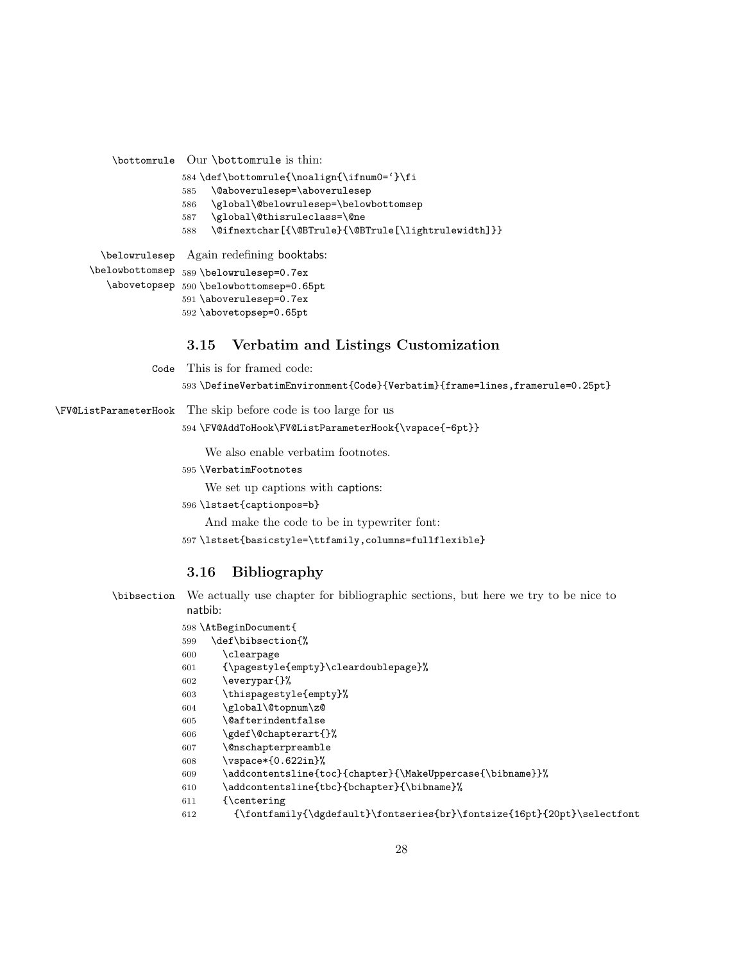\bottomrule Our \bottomrule is thin:

- \def\bottomrule{\noalign{\ifnum0='}\fi
- \@aboverulesep=\aboverulesep
- \global\@belowrulesep=\belowbottomsep
- \global\@thisruleclass=\@ne
- \@ifnextchar[{\@BTrule}{\@BTrule[\lightrulewidth]}}

\belowrulesep Again redefining booktabs:

\belowbottomsep 589 \belowrulesep=0.7ex \abovetopsep 590 \belowbottomsep=0.65pt

 \aboverulesep=0.7ex \abovetopsep=0.65pt

## <span id="page-27-0"></span>3.15 Verbatim and Listings Customization

Code This is for framed code:

\DefineVerbatimEnvironment{Code}{Verbatim}{frame=lines,framerule=0.25pt}

\FV@ListParameterHook The skip before code is too large for us

\FV@AddToHook\FV@ListParameterHook{\vspace{-6pt}}

We also enable verbatim footnotes.

\VerbatimFootnotes

We set up captions with captions:

\lstset{captionpos=b}

And make the code to be in typewriter font:

\lstset{basicstyle=\ttfamily,columns=fullflexible}

## <span id="page-27-1"></span>3.16 Bibliography

\bibsection We actually use chapter for bibliographic sections, but here we try to be nice to natbib:

#### \AtBeginDocument{

- \def\bibsection{%
- \clearpage
- {\pagestyle{empty}\cleardoublepage}%
- \everypar{}%
- \thispagestyle{empty}%
- \global\@topnum\z@
- \@afterindentfalse
- \gdef\@chapterart{}%
- \@nschapterpreamble
- \vspace\*{0.622in}%
- \addcontentsline{toc}{chapter}{\MakeUppercase{\bibname}}%
- 610 \addcontentsline{tbc}{bchapter}{\bibname}%
- {\centering
- {\fontfamily{\dgdefault}\fontseries{br}\fontsize{16pt}{20pt}\selectfont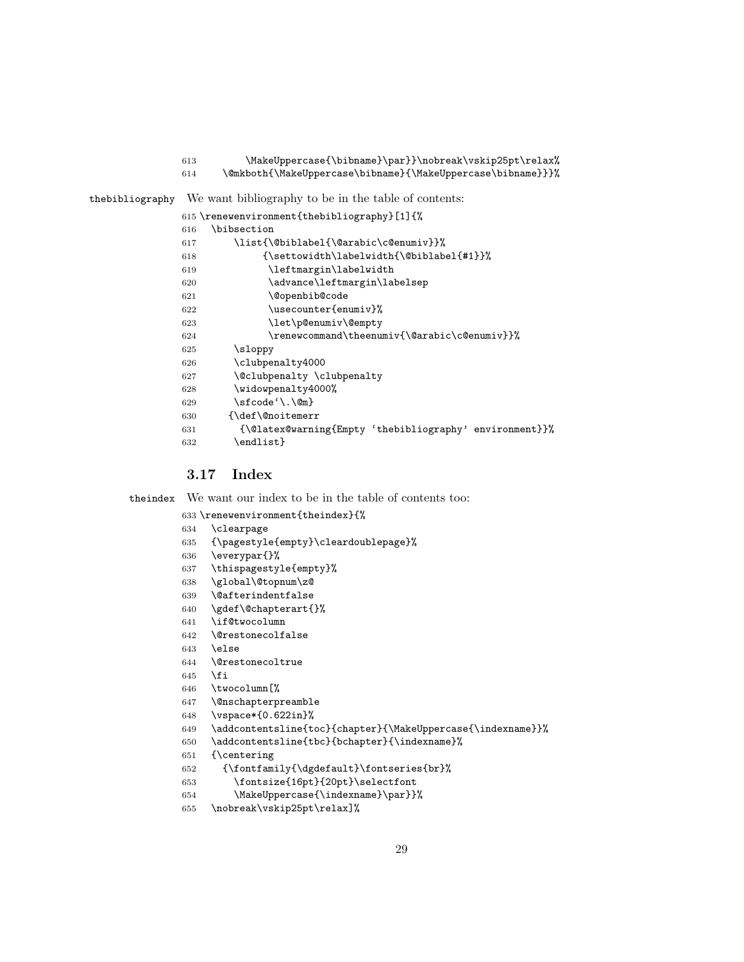- \MakeUppercase{\bibname}\par}}\nobreak\vskip25pt\relax%
- \@mkboth{\MakeUppercase\bibname}{\MakeUppercase\bibname}}}%

thebibliography We want bibliography to be in the table of contents:

|     | 615 \renewenvironment{thebibliography}[1]{%             |
|-----|---------------------------------------------------------|
| 616 | \bibsection                                             |
| 617 | \list{\@biblabel{\@arabic\c@enumiv}}%                   |
| 618 | {\settowidth\labelwidth{\@biblabel{#1}}%                |
| 619 | \leftmargin\labelwidth                                  |
| 620 | \advance\leftmargin\labelsep                            |
| 621 | \@openbib@code                                          |
| 622 | \usecounter{enumiv}%                                    |
| 623 | \let\p@enumiv\@empty                                    |
| 624 | \renewcommand\theenumiv{\@arabic\c@enumiv}}%            |
| 625 | \sloppy                                                 |
| 626 | \clubpenalty4000                                        |
| 627 | \@clubpenalty \clubpenalty                              |
| 628 | \widowpenalty4000%                                      |
| 629 | $\setminus$ sfcode' $\setminus$ . $\mathbb{Q}_m$        |
| 630 | {\def\@noitemerr                                        |
| 631 | {\@latex@warning{Empty 'thebibliography' environment}}% |
| 632 | \endlist}                                               |
|     |                                                         |

## <span id="page-28-0"></span>3.17 Index

theindex We want our index to be in the table of contents too:

\renewenvironment{theindex}{%

- \clearpage
- {\pagestyle{empty}\cleardoublepage}%
- \everypar{}%
- \thispagestyle{empty}%
- \global\@topnum\z@
- \@afterindentfalse
- \gdef\@chapterart{}%
- \if@twocolumn
- \@restonecolfalse
- \else
- \@restonecoltrue
- 645  $\overline{f}$
- \twocolumn[%
- \@nschapterpreamble
- \vspace\*{0.622in}%
- \addcontentsline{toc}{chapter}{\MakeUppercase{\indexname}}%
- \addcontentsline{tbc}{bchapter}{\indexname}%
- {\centering
- {\fontfamily{\dgdefault}\fontseries{br}%
- \fontsize{16pt}{20pt}\selectfont
- \MakeUppercase{\indexname}\par}}%
- \nobreak\vskip25pt\relax]%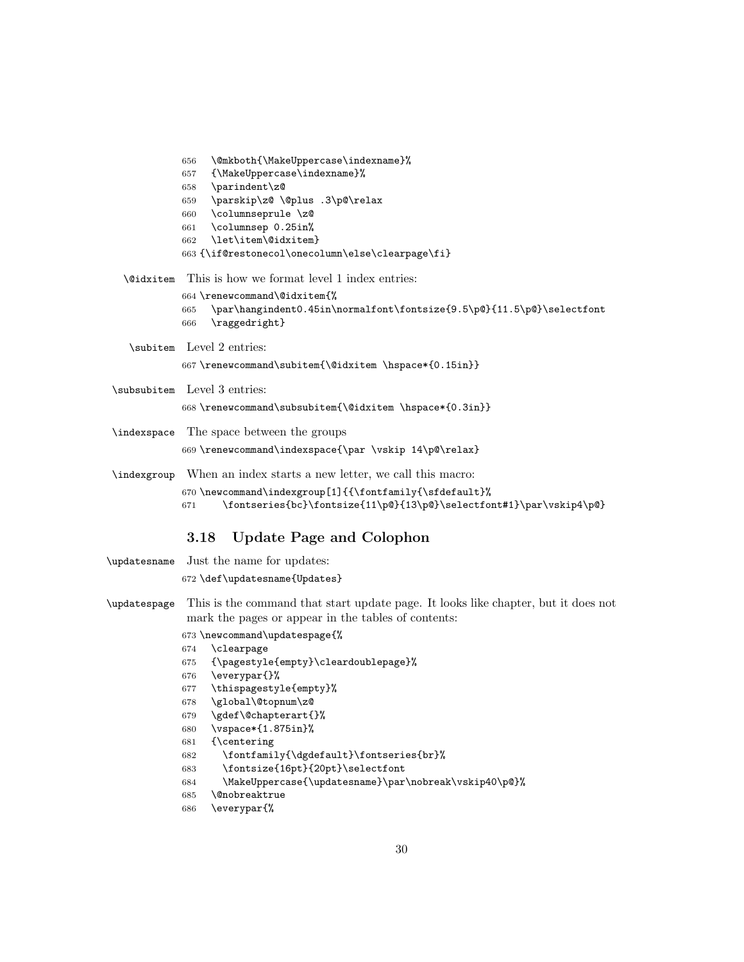|                  | \@mkboth{\MakeUppercase\indexname}%<br>656                                   |
|------------------|------------------------------------------------------------------------------|
|                  | {\MakeUppercase\indexname}%<br>657                                           |
|                  | \parindent\z@<br>658                                                         |
|                  | \parskip\z@ \@plus .3\p@\relax<br>659                                        |
|                  | \columnseprule \z@<br>660                                                    |
|                  | \columnsep 0.25in%<br>661                                                    |
|                  | \let\item\@idxitem}<br>662                                                   |
|                  | 663 {\if@restonecol\onecolumn\else\clearpage\fi}                             |
| <b>\@idxitem</b> | This is how we format level 1 index entries:                                 |
|                  | 664 \renewcommand\@idxitem{%                                                 |
|                  | \par\hangindent0.45in\normalfont\fontsize{9.5\p@}{11.5\p@}\selectfont<br>665 |
|                  | \raggedright}<br>666                                                         |
|                  | \subitem Level 2 entries:                                                    |
|                  | 667 \renewcommand\subitem{\@idxitem \hspace*{0.15in}}                        |
|                  | \subsubitem Level 3 entries:                                                 |
|                  | 668\renewcommand\subsubitem{\@idxitem \hspace*{0.3in}}                       |
|                  |                                                                              |
|                  | \indexspace The space between the groups                                     |
|                  | 669 \renewcommand\indexspace{\par \vskip 14\p@\relax}                        |
|                  | index starts a new letter, we call this macro:                               |
|                  | 670 \newcommand\indexgroup[1]{{\fontfamily{\sfdefault}%                      |
|                  | \fontseries{bc}\fontsize{11\p@}{13\p@}\selectfont#1}\par\vskip4\p@}<br>671   |

## <span id="page-29-0"></span>3.18 Update Page and Colophon

- \updatesname Just the name for updates:
	- \def\updatesname{Updates}
- \updatespage This is the command that start update page. It looks like chapter, but it does not mark the pages or appear in the tables of contents:

## \newcommand\updatespage{%

- \clearpage
- {\pagestyle{empty}\cleardoublepage}%
- \everypar{}%
- \thispagestyle{empty}%
- \global\@topnum\z@
- \gdef\@chapterart{}%
- \vspace\*{1.875in}%
- {\centering
- \fontfamily{\dgdefault}\fontseries{br}%
- \fontsize{16pt}{20pt}\selectfont
- \MakeUppercase{\updatesname}\par\nobreak\vskip40\p@}%
- \@nobreaktrue
- \everypar{%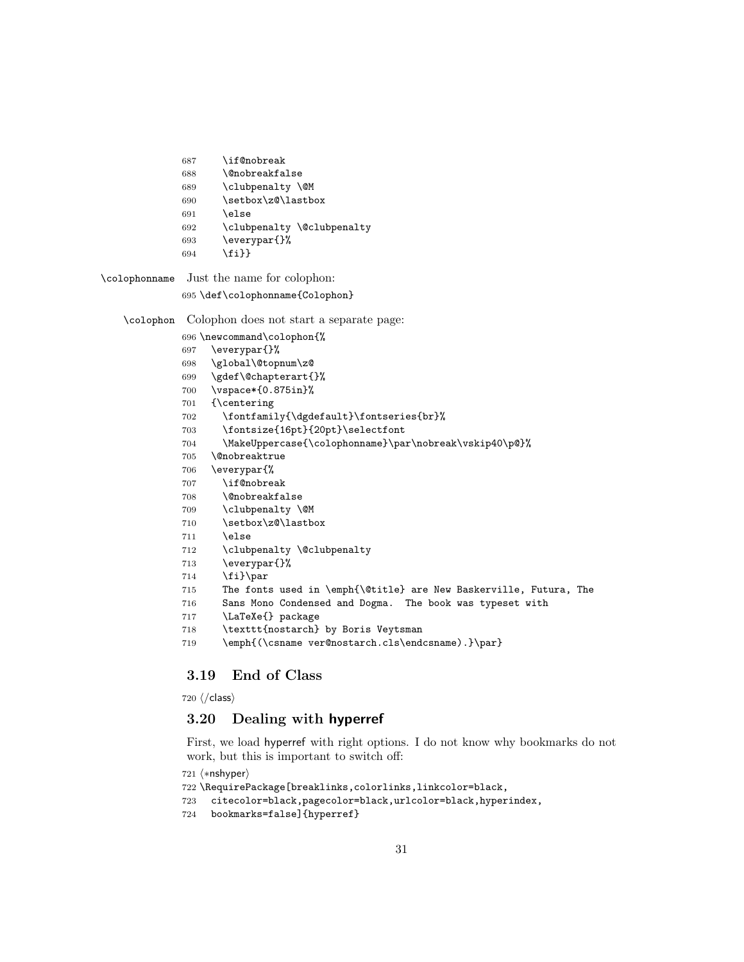\if@nobreak

```
688 \@nobreakfalse
```

```
689 \clubpenalty \@M
```

```
690 \setbox\z@\lastbox
```

```
691 \else
```

```
692 \clubpenalty \@clubpenalty
```
- \everypar{}%
- \fi}}

\colophonname Just the name for colophon:

## \def\colophonname{Colophon}

\colophon Colophon does not start a separate page:

- \newcommand\colophon{%
- \everypar{}%
- \global\@topnum\z@
- \gdef\@chapterart{}%
- \vspace\*{0.875in}%
- {\centering
- \fontfamily{\dgdefault}\fontseries{br}%
- \fontsize{16pt}{20pt}\selectfont
- \MakeUppercase{\colophonname}\par\nobreak\vskip40\p@}%
- \@nobreaktrue
- \everypar{%
- \if@nobreak
- \@nobreakfalse
- \clubpenalty \@M
- 710 \setbox\z@\lastbox
- \else
- \clubpenalty \@clubpenalty
- \everypar{}%
- 714  $\tilde{\text{14}}\$
- The fonts used in \emph{\@title} are New Baskerville, Futura, The
- Sans Mono Condensed and Dogma. The book was typeset with
- \LaTeXe{} package
- \texttt{nostarch} by Boris Veytsman
- \emph{(\csname ver@nostarch.cls\endcsname).}\par}

## <span id="page-30-0"></span>3.19 End of Class

 $720 \; \langle / \text{class} \rangle$ 

## <span id="page-30-1"></span>3.20 Dealing with hyperref

First, we load hyperref with right options. I do not know why bookmarks do not work, but this is important to switch off:

```
721 \langle*nshyper\rangle
```

```
722 \RequirePackage[breaklinks,colorlinks,linkcolor=black,
723 citecolor=black,pagecolor=black,urlcolor=black,hyperindex,
724 bookmarks=false]{hyperref}
```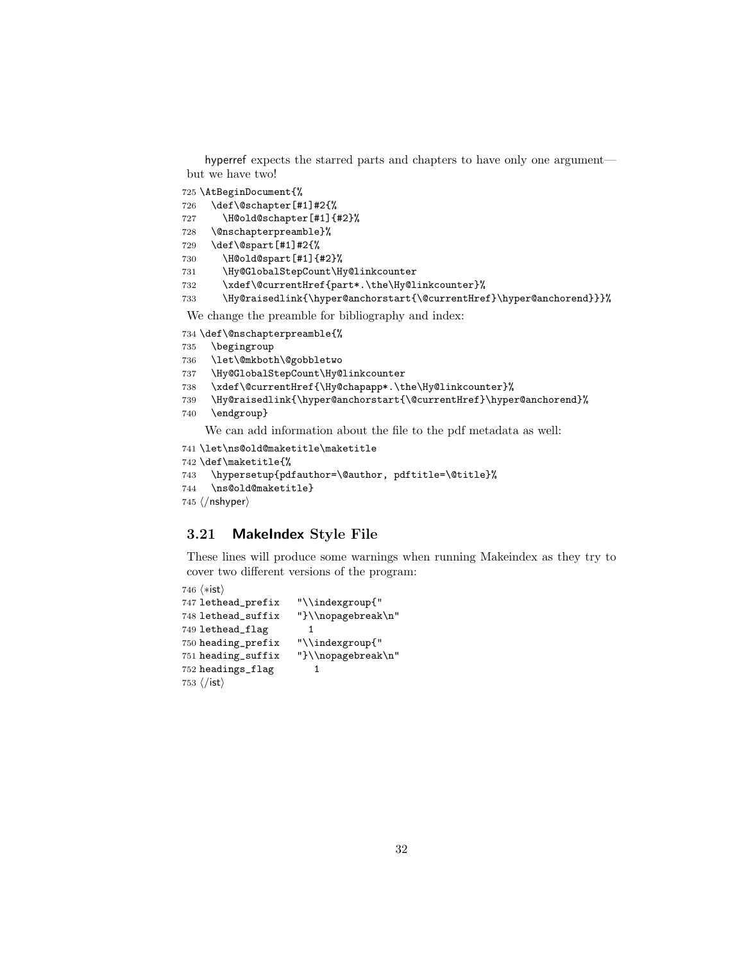hyperref expects the starred parts and chapters to have only one argument but we have two!

\AtBeginDocument{%

```
726 \def\@schapter[#1]#2{%
727 \H@old@schapter[#1]{#2}%
728 \@nschapterpreamble}%
729 \def\@spart[#1]#2{%
730 \H@old@spart[#1]{#2}%
731 \Hy@GlobalStepCount\Hy@linkcounter
```
\xdef\@currentHref{part\*.\the\Hy@linkcounter}%

\Hy@raisedlink{\hyper@anchorstart{\@currentHref}\hyper@anchorend}}}%

We change the preamble for bibliography and index:

```
734 \def\@nschapterpreamble{%
```
- \begingroup
- \let\@mkboth\@gobbletwo
- \Hy@GlobalStepCount\Hy@linkcounter
- \xdef\@currentHref{\Hy@chapapp\*.\the\Hy@linkcounter}%
- \Hy@raisedlink{\hyper@anchorstart{\@currentHref}\hyper@anchorend}%
- \endgroup}

We can add information about the file to the pdf metadata as well:

```
741 \let\ns@old@maketitle\maketitle
```

```
742 \def\maketitle{%
```

```
743 \hypersetup{pdfauthor=\@author, pdftitle=\@title}%
```

```
744 \ns@old@maketitle}
```

```
745 \langle/nshyper\rangle
```
## <span id="page-31-0"></span>3.21 MakeIndex Style File

These lines will produce some warnings when running Makeindex as they try to cover two different versions of the program:

```
746 \langle*ist\rangle747 lethead_prefix "\\indexgroup{"
748 lethead_suffix "}\\nopagebreak\n"
749 lethead_flag 1
750 heading_prefix "\\indexgroup{"
751 heading_suffix "}\\nopagebreak\n"
752 headings_flag 1
753\langle/ist\rangle
```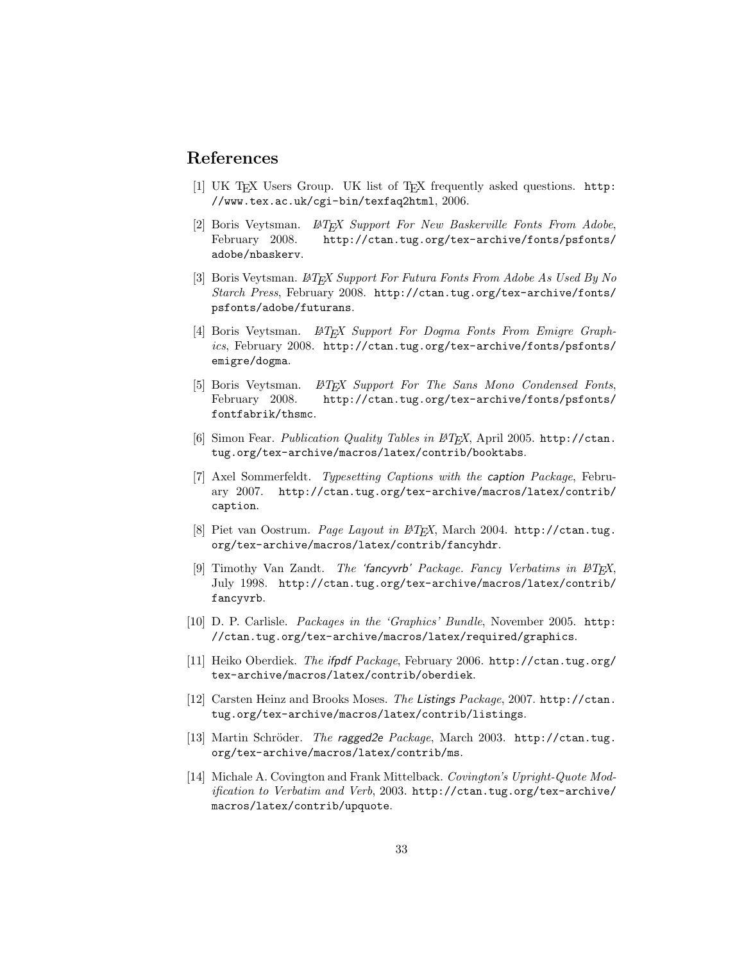## References

- <span id="page-32-0"></span>[1] UK TEX Users Group. UK list of TEX frequently asked questions. [http:](http://www.tex.ac.uk/cgi-bin/texfaq2html) [//www.tex.ac.uk/cgi-bin/texfaq2html](http://www.tex.ac.uk/cgi-bin/texfaq2html), 2006.
- <span id="page-32-1"></span>[2] Boris Veytsman. *LATEX Support For New Baskerville Fonts From Adobe*, February 2008. http://ctan.tug.org/tex-archive/fonts/psfonts/ [http://ctan.tug.org/tex-archive/fonts/psfonts/](http://ctan.tug.org/tex-archive/fonts/psfonts/adobe/nbaskerv) [adobe/nbaskerv](http://ctan.tug.org/tex-archive/fonts/psfonts/adobe/nbaskerv).
- <span id="page-32-2"></span>[3] Boris Veytsman. LATEX Support For Futura Fonts From Adobe As Used By No Starch Press, February 2008. [http://ctan.tug.org/tex-archive/fonts/](http://ctan.tug.org/tex-archive/fonts/psfonts/adobe/futurans) [psfonts/adobe/futurans](http://ctan.tug.org/tex-archive/fonts/psfonts/adobe/futurans).
- <span id="page-32-3"></span>[4] Boris Veytsman. L<sup>AT</sup>FX Support For Dogma Fonts From Emigre Graphics, February 2008. [http://ctan.tug.org/tex-archive/fonts/psfonts/](http://ctan.tug.org/tex-archive/fonts/psfonts/emigre/dogma) [emigre/dogma](http://ctan.tug.org/tex-archive/fonts/psfonts/emigre/dogma).
- <span id="page-32-4"></span>[5] Boris Veytsman. L<sup>AT</sup>EX Support For The Sans Mono Condensed Fonts, February 2008. [http://ctan.tug.org/tex-archive/fonts/psfonts/](http://ctan.tug.org/tex-archive/fonts/psfonts/fontfabrik/thsmc) [fontfabrik/thsmc](http://ctan.tug.org/tex-archive/fonts/psfonts/fontfabrik/thsmc).
- <span id="page-32-5"></span>[6] Simon Fear. *Publication Quality Tables in LATEX*, April 2005. [http://ctan.](http://ctan.tug.org/tex-archive/macros/latex/contrib/booktabs) [tug.org/tex-archive/macros/latex/contrib/booktabs](http://ctan.tug.org/tex-archive/macros/latex/contrib/booktabs).
- <span id="page-32-6"></span>[7] Axel Sommerfeldt. Typesetting Captions with the caption Package, February 2007. [http://ctan.tug.org/tex-archive/macros/latex/contrib/](http://ctan.tug.org/tex-archive/macros/latex/contrib/caption) [caption](http://ctan.tug.org/tex-archive/macros/latex/contrib/caption).
- <span id="page-32-7"></span>[8] Piet van Oostrum. Page Layout in L<sup>AT</sup>FX, March 2004. [http://ctan.tug.](http://ctan.tug.org/tex-archive/macros/latex/contrib/fancyhdr) [org/tex-archive/macros/latex/contrib/fancyhdr](http://ctan.tug.org/tex-archive/macros/latex/contrib/fancyhdr).
- <span id="page-32-8"></span>[9] Timothy Van Zandt. The 'fancyvrb' Package. Fancy Verbatims in LATEX, July 1998. [http://ctan.tug.org/tex-archive/macros/latex/contrib/](http://ctan.tug.org/tex-archive/macros/latex/contrib/fancyvrb) [fancyvrb](http://ctan.tug.org/tex-archive/macros/latex/contrib/fancyvrb).
- <span id="page-32-9"></span>[10] D. P. Carlisle. Packages in the 'Graphics' Bundle, November 2005. [http:](http://ctan.tug.org/tex-archive/macros/latex/required/graphics) [//ctan.tug.org/tex-archive/macros/latex/required/graphics](http://ctan.tug.org/tex-archive/macros/latex/required/graphics).
- <span id="page-32-10"></span>[11] Heiko Oberdiek. The ifpdf Package, February 2006. [http://ctan.tug.org/](http://ctan.tug.org/tex-archive/macros/latex/contrib/oberdiek) [tex-archive/macros/latex/contrib/oberdiek](http://ctan.tug.org/tex-archive/macros/latex/contrib/oberdiek).
- <span id="page-32-11"></span>[12] Carsten Heinz and Brooks Moses. The Listings Package, 2007. [http://ctan.](http://ctan.tug.org/tex-archive/macros/latex/contrib/listings) [tug.org/tex-archive/macros/latex/contrib/listings](http://ctan.tug.org/tex-archive/macros/latex/contrib/listings).
- <span id="page-32-12"></span>[13] Martin Schröder. The ragged2e Package, March 2003. [http://ctan.tug.](http://ctan.tug.org/tex-archive/macros/latex/contrib/ms) [org/tex-archive/macros/latex/contrib/ms](http://ctan.tug.org/tex-archive/macros/latex/contrib/ms).
- <span id="page-32-13"></span>[14] Michale A. Covington and Frank Mittelback. Covington's Upright-Quote Modification to Verbatim and Verb, 2003. [http://ctan.tug.org/tex-archive/](http://ctan.tug.org/tex-archive/macros/latex/contrib/upquote) [macros/latex/contrib/upquote](http://ctan.tug.org/tex-archive/macros/latex/contrib/upquote).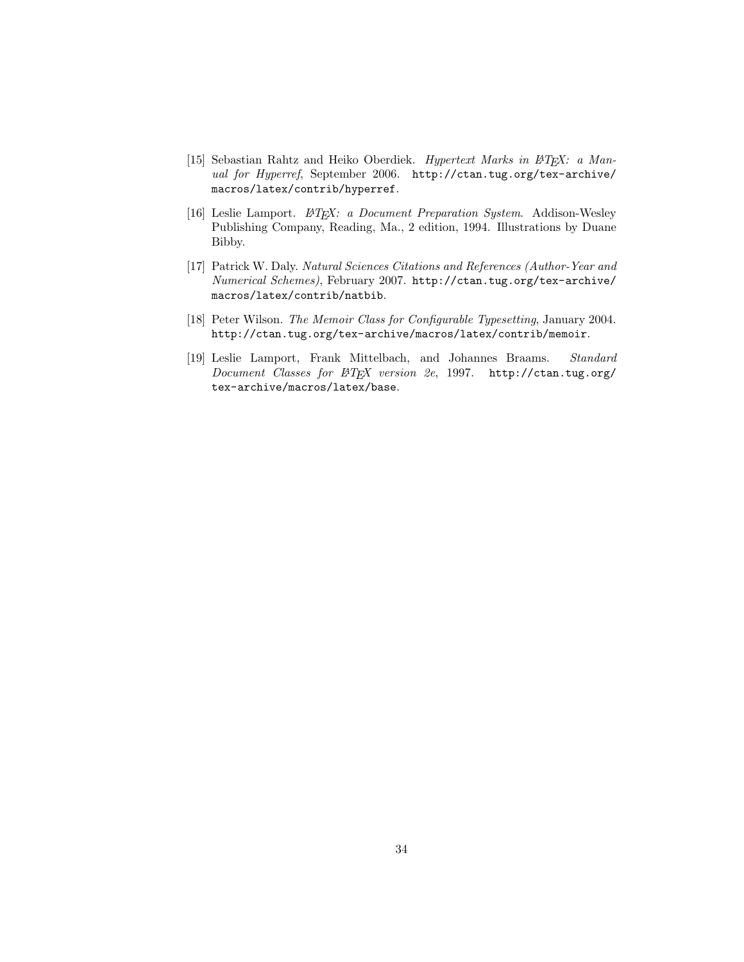- <span id="page-33-0"></span>[15] Sebastian Rahtz and Heiko Oberdiek. Hypertext Marks in L<sup>AT</sup>EX: a Manual for Hyperref, September 2006. [http://ctan.tug.org/tex-archive/](http://ctan.tug.org/tex-archive/macros/latex/contrib/hyperref) [macros/latex/contrib/hyperref](http://ctan.tug.org/tex-archive/macros/latex/contrib/hyperref).
- <span id="page-33-1"></span>[16] Leslie Lamport.  $\cancel{B}T_{E}X$ : a Document Preparation System. Addison-Wesley Publishing Company, Reading, Ma., 2 edition, 1994. Illustrations by Duane Bibby.
- <span id="page-33-2"></span>[17] Patrick W. Daly. Natural Sciences Citations and References (Author-Year and Numerical Schemes), February 2007. [http://ctan.tug.org/tex-archive/](http://ctan.tug.org/tex-archive/macros/latex/contrib/natbib) [macros/latex/contrib/natbib](http://ctan.tug.org/tex-archive/macros/latex/contrib/natbib).
- <span id="page-33-3"></span>[18] Peter Wilson. The Memoir Class for Configurable Typesetting, January 2004. <http://ctan.tug.org/tex-archive/macros/latex/contrib/memoir>.
- <span id="page-33-4"></span>[19] Leslie Lamport, Frank Mittelbach, and Johannes Braams. Standard Document Classes for ETEX version 2e, 1997. [http://ctan.tug.org/](http://ctan.tug.org/tex-archive/macros/latex/base) [tex-archive/macros/latex/base](http://ctan.tug.org/tex-archive/macros/latex/base).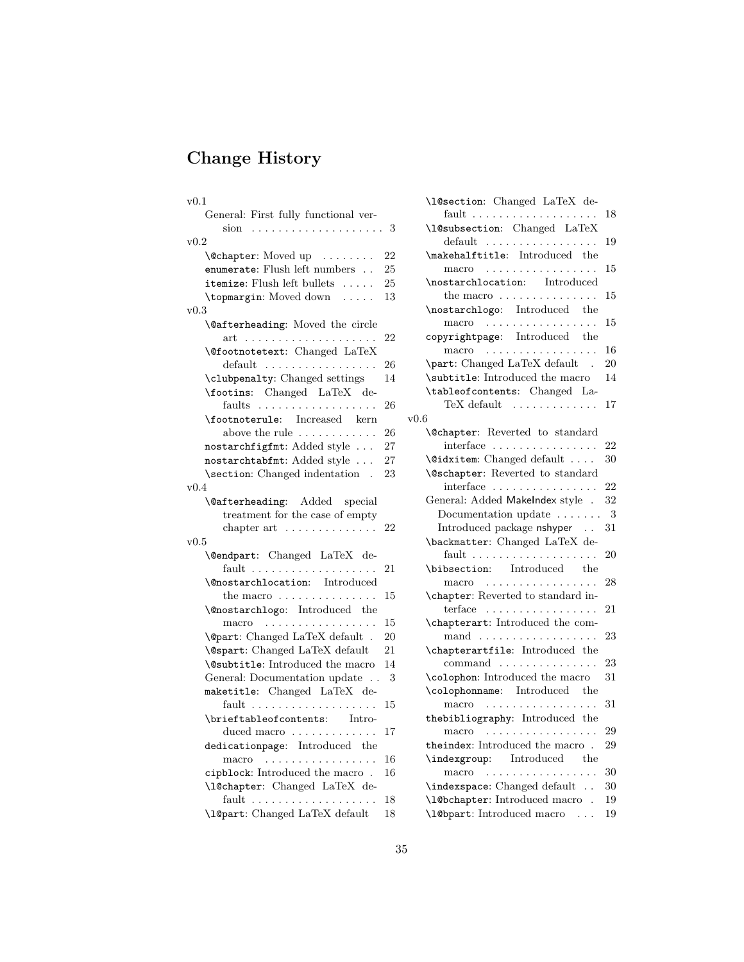# Change History

| v0.1                                       |    |
|--------------------------------------------|----|
| General: First fully functional ver-       |    |
| . 3<br>sion<br>$\sim$                      |    |
| $_{\rm v0.2}$                              |    |
| \@chapter: Moved up                        | 22 |
| enumerate: Flush left numbers              | 25 |
| itemize: Flush left bullets                | 25 |
| \topmargin: Moved down<br>$\sim$           | 13 |
| v0.3                                       |    |
| <b>\@afterheading:</b> Moved the circle    |    |
| .<br>$\operatorname{art}$<br>$\sim$ .<br>. | 22 |
| <b>\@footnotetext:</b> Changed LaTeX       |    |
| $default \dots \dots \dots \dots \dots$    | 26 |
| \clubpenalty: Changed settings             | 14 |
| \footins: Changed LaTeX de-                |    |
| faults                                     | 26 |
| \footnoterule: Increased kern              |    |
| above the rule $\dots \dots \dots$         | 26 |
| nostarchfigfmt: Added style                | 27 |
| nostarchtabfmt: Added style                | 27 |
| \section: Changed indentation .            |    |
|                                            | 23 |
| v0.4                                       |    |
| <b>\@afterheading:</b> Added<br>special    |    |
| treatment for the case of empty            |    |
| chapter $art$                              | 22 |
| v0.5                                       |    |
| \@endpart: Changed LaTeX de-               |    |
|                                            | 21 |
| <b>\@nostarchlocation:</b> Introduced      |    |
| the macro $\dots \dots \dots \dots \dots$  | 15 |
| <b>\@nostarchlogo:</b> Introduced the      |    |
| macro<br>.                                 | 15 |
| <b>\@part:</b> Changed LaTeX default .     | 20 |
| <b>\@spart:</b> Changed LaTeX default      | 21 |
| <b>\@subtitle:</b> Introduced the macro    | 14 |
| General: Documentation update              | 3  |
| maketitle: Changed LaTeX de-               |    |
|                                            | 15 |
| \brieftableofcontents: Intro-              |    |
| duced macro                                | 17 |
| dedicationpage: Introduced the             |    |
| macro                                      | 16 |
| cipblock: Introduced the macro.            | 16 |
| \l@chapter: Changed LaTeX de-              |    |
|                                            | 18 |
| \1@part: Changed LaTeX default             | 18 |

| \1@section: Changed LaTeX de-                                           |    |
|-------------------------------------------------------------------------|----|
|                                                                         | 18 |
| \l@subsection: Changed LaTeX<br>$default \dots \dots \dots \dots \dots$ | 19 |
| \makehalftitle: Introduced the                                          |    |
| macro                                                                   | 15 |
| \nostarchlocation: Introduced                                           |    |
| the macro $\dots \dots \dots \dots \dots$                               | 15 |
| \nostarchlogo: Introduced the                                           |    |
| macro                                                                   | 15 |
| copyrightpage: Introduced the<br>macro                                  | 16 |
| \part: Changed LaTeX default .                                          | 20 |
| \subtitle: Introduced the macro                                         | 14 |
| \tableofcontents: Changed La-                                           |    |
| TeX default $\dots\dots\dots\dots$                                      | 17 |
| v0.6                                                                    |    |
| \@chapter: Reverted to standard                                         |    |
| interface                                                               | 22 |
| $\setminus$ Cidxitem: Changed default                                   | 30 |
| <b>\@schapter:</b> Reverted to standard                                 |    |
| interface                                                               | 22 |
| General: Added MakeIndex style .                                        | 32 |
| Documentation update                                                    | 3  |
| Introduced package nshyper                                              | 31 |
| \backmatter: Changed LaTeX de-                                          |    |
| \bibsection: Introduced the                                             | 20 |
| macro                                                                   | 28 |
| \chapter: Reverted to standard in-                                      |    |
| terface $\dots\dots\dots\dots\dots\dots\dots$                           | 21 |
| \chapterart: Introduced the com-                                        |    |
| mand                                                                    | 23 |
| \chapterartfile: Introduced the                                         |    |
| command                                                                 | 23 |
| \colophon: Introduced the macro                                         | 31 |
| \colophonname: Introduced the                                           |    |
| .<br>macro                                                              | 31 |
| thebibliography: Introduced the                                         |    |
| macro                                                                   | 29 |
| theindex: Introduced the macro $\,$ .                                   | 29 |
| \indexgroup: Introduced the                                             |    |
| macro                                                                   | 30 |
| \indexspace: Changed default                                            | 30 |
| \1@bchapter: Introduced macro .                                         | 19 |
| \1@bpart: Introduced macro                                              | 19 |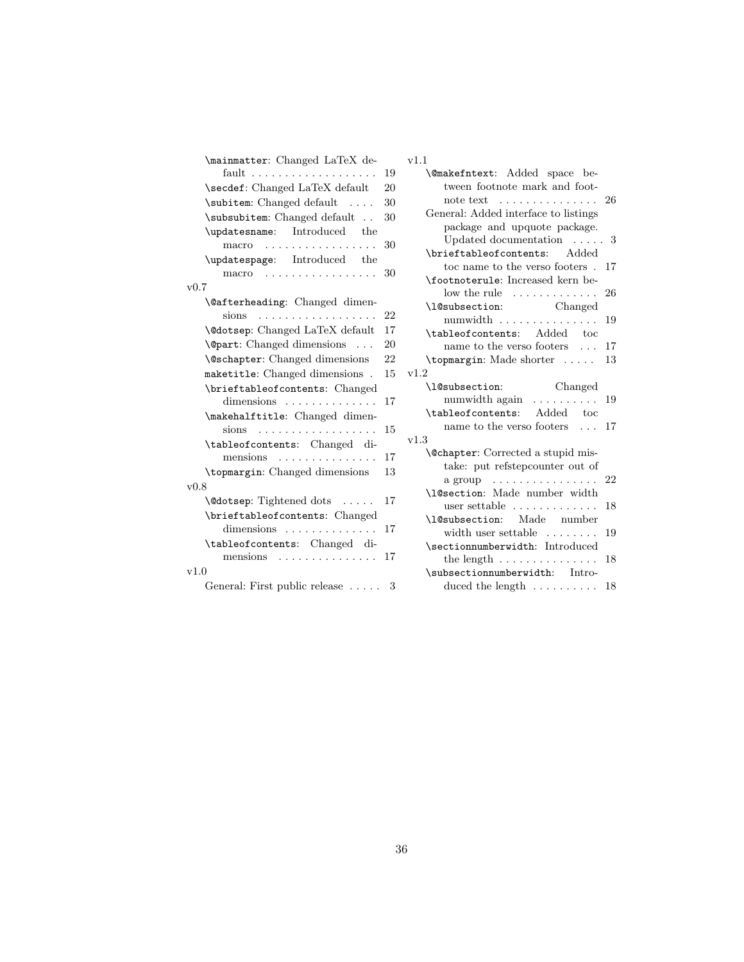| \mainmatter: Changed LaTeX de-         |    | v1.1 |
|----------------------------------------|----|------|
| fault                                  | 19 |      |
| \secdef: Changed LaTeX default         | 20 |      |
| \subitem: Changed default              | 30 |      |
| \subsubitem: Changed default           | 30 |      |
| \updatesname: Introduced the           |    |      |
| macro                                  | 30 |      |
| \updatespage: Introduced the           |    |      |
| $\text{macro}$                         | 30 |      |
| v0.7                                   |    |      |
| <b>\@afterheading:</b> Changed dimen-  |    |      |
| sions<br>.                             | 22 |      |
| <b>\@dotsep:</b> Changed LaTeX default | 17 |      |
| <b>\@part:</b> Changed dimensions      | 20 |      |
| <b>\@schapter:</b> Changed dimensions  | 22 |      |
| maketitle: Changed dimensions.         | 15 | v1.2 |
| \brieftableofcontents: Changed         |    |      |
| dimensions                             | 17 |      |
| \makehalftitle: Changed dimen-         |    |      |
| $sions \dots \dots \dots \dots \dots$  | 15 | v1.3 |
| \tableofcontents: Changed di-          |    |      |
| mensions                               | 17 |      |
| \topmargin: Changed dimensions         | 13 |      |
| v0.8                                   |    |      |
| \@dotsep: Tightened dots               | 17 |      |
| \brieftableofcontents: Changed         |    |      |
| dimensions                             | 17 |      |
| \tableofcontents: Changed di-          |    |      |
| mensions                               | 17 |      |
| v1.0                                   |    |      |
| General: First public release          | 3  |      |

| × |  |  |  |
|---|--|--|--|
|   |  |  |  |

| 9                        | <b>\@makefntext:</b> Added space be-                             |    |
|--------------------------|------------------------------------------------------------------|----|
| J                        | tween footnote mark and foot-                                    |    |
| $\mathfrak{I}$           | note text $\dots \dots \dots \dots \dots 26$                     |    |
| $\overline{\phantom{a}}$ | General: Added interface to listings                             |    |
|                          | package and upquote package.                                     |    |
| J                        | Updated documentation $\ldots$ 3                                 |    |
|                          | \brieftableofcontents: Added                                     |    |
| J                        | toc name to the verso footers.                                   | 17 |
|                          | \footnoterule: Increased kern be-                                |    |
|                          | $\frac{1}{2}$ low the rule $\ldots \ldots \ldots$                | 26 |
|                          | Changed<br>\l@subsection:                                        |    |
|                          |                                                                  | 19 |
| $\overline{1}$           | \tableofcontents: Added toc                                      |    |
| $\overline{\mathbf{C}}$  | name to the verso footers $\ldots$                               | 17 |
| $\frac{2}{5}$            | \topmargin: Made shorter                                         | 13 |
|                          | v1.2                                                             |    |
|                          | \l@subsection:<br>Changed                                        |    |
| 7                        | numwidth again $\dots \dots$                                     | 19 |
|                          | \tableofcontents: Added toc                                      |    |
| 5                        | name to the verso footers $\ldots$ 17                            |    |
|                          | v1.3                                                             |    |
| 7                        | <b>\@chapter:</b> Corrected a stupid mis-                        |    |
| 3                        | take: put refstepcounter out of                                  |    |
|                          | a group<br>.                                                     | 22 |
|                          | \l@section: Made number width                                    |    |
| 7                        | user settable $\dots\dots\dots\dots$                             | 18 |
|                          |                                                                  |    |
|                          | \l@subsection: Made number                                       |    |
| $\overline{1}$           | width user settable $\dots\dots\dots$                            | 19 |
|                          | \sectionnumberwidth: Introduced                                  |    |
| $\overline{1}$           | the length $\dots \dots \dots \dots$                             | 18 |
|                          | \subsectionnumberwidth: Intro-<br>duced the length $\dots \dots$ |    |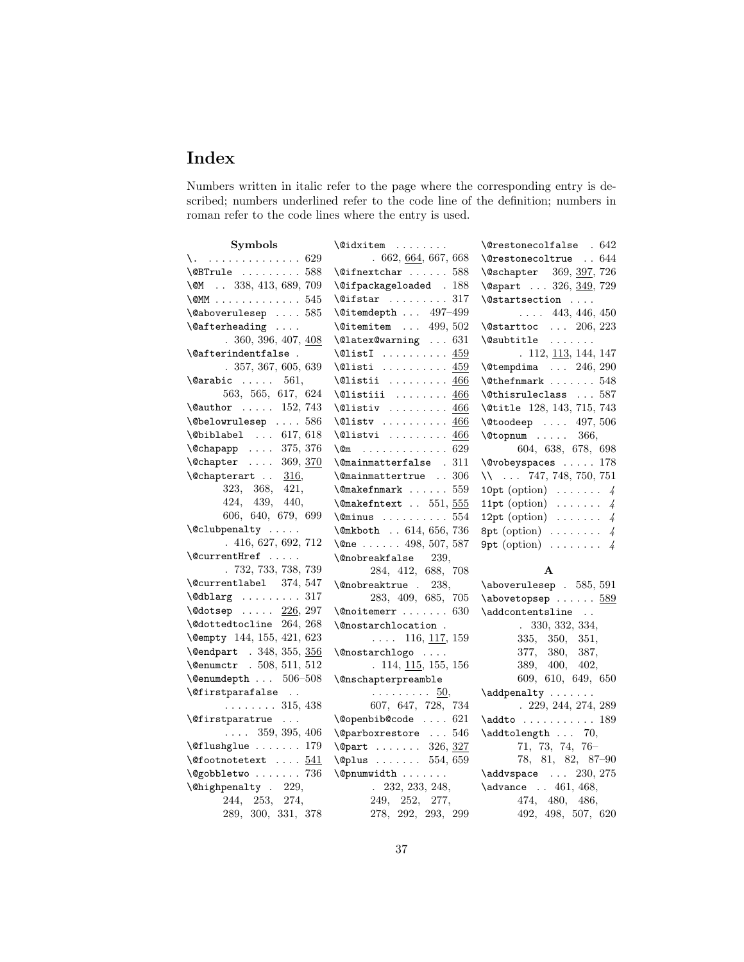# Index

Numbers written in italic refer to the page where the corresponding entry is described; numbers underlined refer to the code line of the definition; numbers in roman refer to the code lines where the entry is used.

| Symbols                                     | $\Diamond$ idxitem                                 | $\text{Qrestone}$ colfalse . $642$      |
|---------------------------------------------|----------------------------------------------------|-----------------------------------------|
| $\lambda$ .  629                            | .662, 664, 667, 668                                | \@restonecoltrue  644                   |
| $\Omega$ 588                                | $\text{Qifnextchar} \dots 588$                     | \@schapter 369, 397, 726                |
| \MM 338, 413, 689, 709                      | \@ifpackageloaded . 188                            | \@spart  326, 349, 729                  |
| $\text{OMM}$ 545                            | $\sqrt{eifstar$ 317                                | \@startsection                          |
| $\lambda$ 0aboverulesep  585                | $\text{Qitemdepth}$ 497-499                        | $\ldots$ 443, 446, 450                  |
| $\setminus$ @afterheading                   | $\text{Vertemitem}$ 499, 502                       | \@starttoc  206, 223                    |
| .360, 396, 407, 408                         | $\text{Quates}$ 631                                | $\setminus$ @subtitle                   |
| \@afterindentfalse.                         | $\text{QlistI}$ 459                                | . 112, 113, 144, 147                    |
| .357,367,605,639                            | $\text{\textbackslash}\mathbb{Q}$ listi  459       | $\text{Utempdima}$ 246, 290             |
| $\text{Qarabic} \dots 561,$                 | $\text{Qlistii} \dots \dots \dots \underline{466}$ | $\text{\textbackslash}$ Cthefnmark  548 |
| 563, 565, 617, 624                          | $\lambda$ listiii  466                             | \@thisruleclass  587                    |
| \@author $152, 743$                         | $\text{Qlistiv}$ 466                               | \@title 128, 143, 715, 743              |
| $\text{Webclowrulesep}$ 586                 | $\text{Qlistv}$ 466                                | $\text{October} \dots 497, 506$         |
| $\Delta$ biblabel  617, 618                 | $\text{Qlistvi} \dots \dots \dots \ 466$           | $\text{Vctopnum}$ 366,                  |
| \@chapapp  375, 376                         | $\sqrt{cm}$ 629                                    | 604, 638, 678, 698                      |
| \@chapter  369, 370                         | \@mainmatterfalse . 311                            | \@vobeyspaces  178                      |
| $\text{Cchapterart}$ . 316,                 | \@mainmattertrue  306                              | $\mathcal{N}$ 747, 748, 750, 751        |
| 323, 368, 421,                              | $\text{Qmakefmmark}$ 559                           | 10pt (option) $\ldots \ldots$ 4         |
| 424, 439, 440,                              | $\{\n$ emakefntext . 551, 555                      | 11pt (option) $\ldots \ldots$ 4         |
| 606, 640, 679, 699                          | $\text{Ominus}$ 554                                | 12pt (option) $\ldots \ldots$ 4         |
| $\lambda$ clubpenalty                       | \@mkboth  614, 656, 736                            | 8pt (option) $\ldots \ldots$ 4          |
| .416,627,692,712                            | \@ne 498, 507, 587                                 | 9pt (option) $\ldots \ldots$ 4          |
|                                             |                                                    |                                         |
| $\text{QuurentHref}$                        | <b>\@nobreakfalse</b><br>239,                      |                                         |
| .732,733,738,739                            | 284, 412, 688, 708                                 | $\mathbf{A}$                            |
| \@currentlabel 374, 547                     | \@nobreaktrue . 238,                               | $\lambda$ boverulesep . 585, 591        |
| $\delta$ !                                  | 283, 409, 685, 705                                 | $\lambda$ abovetopsep $589$             |
| $\lambda$ dotsep $226, 297$                 | $\{\mathcal{Q}$ noitemerr  630                     | \addcontentsline                        |
| \@dottedtocline 264, 268                    | \@nostarchlocation.                                | .330, 332, 334,                         |
| \@empty 144, 155, 421, 623                  | $\ldots$ 116, 117, 159                             | 335, 350, 351,                          |
| \@endpart . 348, 355, 356                   | \@nostarchlogo                                     | 377, 380,<br>387,                       |
| \@enumctr . 508, 511, 512                   | .114, 115, 155, 156                                | 389, 400,<br>402,                       |
| $\text{Qenumdepth}$ $506-508$               | <i><b>\@nschapterpreamble</b></i>                  | 609, 610, 649, 650                      |
| $\verb \@firstparafalse  . .$               | . 50,                                              | \addpenalty                             |
| $\ldots \ldots 315, 438$                    | 607, 647, 728, 734                                 | . 229, 244, 274, 289                    |
| \@firstparatrue                             | \@openbib@code  621                                | $\addto \ldots \ldots \ldots 189$       |
| $\ldots$ 359, 395, 406                      | \@parboxrestore  546                               | $\addtolength \dots 70,$                |
| $\text{Oflushglue} \dots 179$               | \@part  326, 327                                   | 71, 73, 74, 76-                         |
| $\setminus$ Cfootnotetext $\underline{541}$ | $\Q$ plus  554, 659                                | 78, 81, 82, 87-90                       |
| \@gobbletwo  736                            | \@pnumwidth                                        | $\addvspace$ 230, 275                   |
| \@highpenalty . 229,                        | $. \ 232, 233, 248,$                               | \advance  461, 468,                     |
| 244, 253, 274,                              | 249, 252, 277,                                     | 474, 480,<br>486,                       |
| 289, 300, 331, 378                          | 278, 292, 293, 299                                 | 492, 498, 507, 620                      |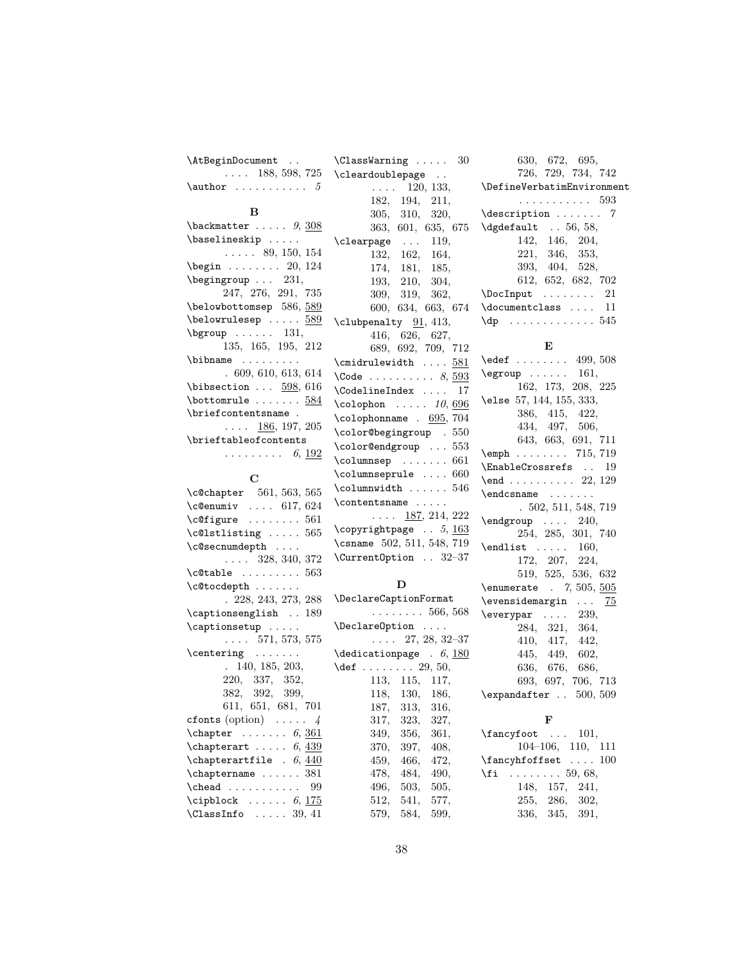| \AtBeginDocument                                                                         | $\text{ClassWarning} \dots$<br>30                          | 630, 672, 695,                                      |
|------------------------------------------------------------------------------------------|------------------------------------------------------------|-----------------------------------------------------|
| $\ldots$ 188, 598, 725                                                                   | \cleardoublepage                                           | 726, 729, 734, 742                                  |
| $\lambda$ author  5                                                                      | 120, 133,<br>$\mathbf{1}$ , and $\mathbf{1}$               | \DefineVerbatimEnvironment                          |
|                                                                                          | 182, 194,<br>211,                                          | . 593                                               |
| в                                                                                        | 305,<br>310,<br>320,                                       | $\texttt{description} \dots \dots \quad \texttt{7}$ |
| $\backslash$ backmatter $9, 308$                                                         | 363, 601, 635, 675                                         | $\text{dgdefault} \dots 56, 58,$                    |
| \baselineskip                                                                            | \clearpage<br>$\sim 100$ km s $^{-1}$<br>119.              | 142, 146, 204,                                      |
| $\ldots$ 89, 150, 154                                                                    | 132.<br>162, 164,                                          | 221,<br>346, 353,                                   |
| $\begin{bmatrix} \text{begin} 0, 124 \end{bmatrix}$                                      | 174,<br>181, 185,                                          | 393, 404, 528,                                      |
| $\begin{bmatrix} \begin{array}{ccc} \text{begin} \text{array} \end{array} \end{bmatrix}$ | 193,<br>210,<br>304,                                       | 612, 652, 682, 702                                  |
| 247, 276, 291, 735                                                                       | 309, 319, 362,                                             |                                                     |
| $\be$ lowbottomsep $586, 589$                                                            | 600, 634, 663, 674                                         | \documentclass  11                                  |
| $\begin{bmatrix} \texttt{belowrule} & \texttt{} & \texttt{589} \end{bmatrix}$            | \clubpenalty 91, 413,                                      |                                                     |
| $\begin{bmatrix} \text{bgroup} & \text{bigr} & \text{bigr} \end{bmatrix}$                | 416, 626, 627,                                             |                                                     |
| 135, 165, 195, 212                                                                       | 689, 692, 709, 712                                         | E                                                   |
| $\lambda$ : $\lambda$                                                                    | $\verb+\cmidrule width+ \ldots + 581+$                     | $\text{led}$ 499, 508                               |
| .609,610,613,614                                                                         | $\text{Code } \ldots \ldots \ldots \quad 8, \frac{593}{2}$ | $\qquad \ldots 161,$                                |
| $\big\{\n  bissection \dots 598, 616\n$                                                  | \CodelineIndex<br>17                                       | 162, 173, 208, 225                                  |
| $\backslash$ bottomrule $584$                                                            | $\text{Colophon} \dots 10, 696$                            | \else 57,144,155,333,                               |
| \briefcontentsname .                                                                     | $\colon$ Colophonname . 695, 704                           | 386, 415, 422,                                      |
| 186, 197, 205<br>$\mathbb{Z}^2$ . In the $\mathbb{Z}^2$                                  |                                                            | 434, 497, 506,                                      |
| \brieftableofcontents                                                                    | \color@begingroup . 550                                    | 643, 663, 691, 711                                  |
| $\ldots \ldots \ldots 6, 192$                                                            | \color@endgroup  553                                       | $\text{Temph} \ldots \ldots \quad 715, 719$         |
|                                                                                          | $\column sep \dots 661$                                    | \EnableCrossrefs  19                                |
| $\mathbf C$                                                                              | \columnseprule  660                                        | \end 22, 129                                        |
| \c@chapter 561, 563, 565                                                                 | $\verb \columnuidth  \dots 546 $                           |                                                     |
| $\text{\textdegree} \ldots 617,624$                                                      | \contentsname                                              | .502, 511, 548, 719                                 |
| $\c{qfigure}$ 561                                                                        | $\ldots$ 187, 214, 222                                     | $\end{group}$ 240,                                  |
| $\text{C@lstlisting} \dots . 565$                                                        | \copyrightpage $. 5, 163$                                  | 254, 285, 301, 740                                  |
| \c@secnumdepth                                                                           | \csname 502, 511, 548, 719                                 | $\end{list}$ 160,                                   |
| $\ldots$ 328, 340, 372                                                                   | \Current0ption  32-37                                      | 172, 207, 224,                                      |
| $\texttt{c@table}$ 563                                                                   |                                                            | 519, 525, 536, 632                                  |
| \c@tocdepth                                                                              | D                                                          | \enumerate . 7, 505, 505                            |
| . 228, 243, 273, 288                                                                     | \DeclareCaptionFormat                                      | $\text{Vevensidemargin} \dots \quad 75$             |
| \captionsenglish  189                                                                    | $\ldots \ldots 566, 568$                                   | $\text{everypar} \dots$<br>239,                     |
| $\cap$                                                                                   | $\Delta$ relareOption                                      | 284.<br>321,<br>364,                                |
| $\ldots 571, 573, 575$                                                                   | $\ldots$ 27, 28, 32–37                                     | 410, 417,<br>442,                                   |
| $\centerdot \ldots \centerdot$                                                           | $\delta$ . (dedication page . 6, 180                       | 445,<br>449,<br>602,                                |
| 140, 185, 203,                                                                           | \def $\dots \dots 29, 50,$                                 | 636, 676,<br>686,                                   |
| 220, 337, 352,                                                                           | 113, 115, 117,                                             | 693, 697, 706, 713                                  |
| 382, 392, 399,                                                                           | 118,<br>130, 186,                                          | $\text{expandafter}$ . 500, 509                     |
| 611, 651, 681, 701                                                                       | 187,<br>313,<br>316,                                       |                                                     |
| cfonts (option) $\ldots$ 4                                                               | 317,<br>323,<br>327,                                       | F                                                   |
| $\lambda$ chapter  6, <u>361</u>                                                         | 356,<br>349,<br>361,                                       | $\frac{\text{tancyfoot}}{\text{101}}$               |
|                                                                                          |                                                            |                                                     |

| $\c{echapter}$ 561, 563, 565                |
|---------------------------------------------|
| $\text{Ceenumiv} \dots 617, 624$            |
| $\c{6}$ igure  561                          |
| $\c01$ stlisting  565                       |
| \c@secnumdepth                              |
| $\ldots$ 328, 340, 372                      |
| $\text{\textbackslash}\text{-}\text{C}$ 563 |
| \c@tocdepth                                 |
| .228, 243, 273, 288                         |
| \captionsenglish  189                       |
| \captionsetup                               |
| $\ldots$ 571, 573, 575                      |
| \centering                                  |
| 140, 185, 203,                              |
| 220, 337, 352,                              |
| 382, 392, 399,                              |
| 611, 651, 681, 701                          |
| cfonts (option) $\ldots$ .<br>$\frac{1}{4}$ |
| $\lambda$ chapter  6, 361                   |
| \chapterart $6,439$                         |
| $\lambda$ chapterartfile . $6, 440$         |
| $\Lambda$ 381                               |
|                                             |
| $\cipblock \ldots 6, 175$                   |
| $\text{ClassInfo} \dots 39, 41$             |

370, 397, 408, 459, 466, 472, 478, 484, 490, 496, 503, 505, 512, 541, 577, 579, 584, 599,

104–106, 110, 111  $\Lambda$ : ... 100  $\setminus$ fi . . . . . . . . 59, 68, 148, 157, 241, 255, 286, 302, 336, 345, 391,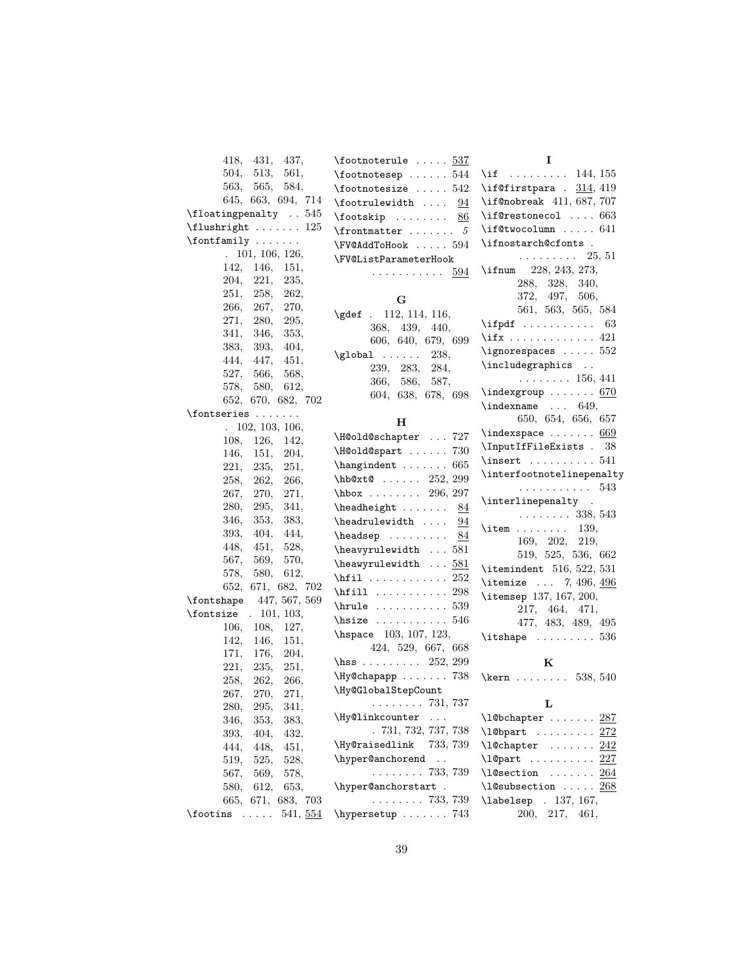| 418, 431,<br>437,                            | $\setminus$ footnoterule  537                          | 1                                                |
|----------------------------------------------|--------------------------------------------------------|--------------------------------------------------|
| 504,<br>513,<br>561,                         | $\setminus$ footnotesep  544                           | \if $\dots\dots\dots$ 144, 155                   |
| 563,<br>565,<br>584,                         | $\setminus$ footnotesize  542                          | \if@firstpara . $314, 419$                       |
| 645, 663, 694, 714                           | $\setminus$ footrulewidth<br>94                        | \if@nobreak 411, 687, 707                        |
| $\Lambda$ . 545                              | $\otimes$ $\cdots$<br>86                               | \if@restonecol  663                              |
| $\{\text{flushright} \dots \dots \ 125\}$    | $\lvert$ frontmatter  5                                | \if@twocolumn  641                               |
| $\forall$ fontfamily                         | \FV@AddToHook  594                                     | \ifnostarch@cfonts .                             |
| 101, 106, 126,                               | \FV@ListParameterHook                                  | $\ldots \ldots \ldots 25, 51$                    |
| 142, 146,<br>151,                            | . 594                                                  | \ifnum 228, 243, 273,                            |
| 204, 221,<br>235,                            |                                                        | 288, 328, 340,                                   |
| 251,<br>258,<br>262,                         | G                                                      | 372, 497, 506,                                   |
| 266,<br>267,<br>270,                         | \gdef . 112, 114, 116,                                 | 561, 563, 565, 584                               |
| 271,<br>280,<br>295,                         | 368, 439,<br>440,                                      | $\left\{\text{ind} \ldots \ldots \right\}$<br>63 |
| 341,<br>346,<br>353,                         | 606, 640, 679, 699                                     | \ifx 421                                         |
| 404,<br>383, 393,                            | $\qquad \qquad \ldots \ldots$<br>238,                  | $\iota$ ignorespaces  552                        |
| 444,<br>-447,<br>451,                        | 239, 283,<br>284,                                      | \includegraphics                                 |
| 527,<br>566,<br>568,                         | 366, 586,<br>587,                                      | $\ldots \ldots \ldots 156, 441$                  |
| 580,<br>578,<br>612,                         | 604, 638, 678, 698                                     | $\infty$ :  670                                  |
| 652, 670, 682, 702                           |                                                        | $\theta$ 649,                                    |
| \fontseries                                  | н                                                      | 650, 654, 656, 657                               |
| . 102, 103, 106,                             | \H@old@schapter  727                                   | $\theta$ $669$                                   |
| 108,<br>126,<br>142,                         | \H@old@spart  730                                      | \InputIfFileExists . 38                          |
| 146,<br>151,<br>204,                         | $\label{eq:example} \verb+\hangindent=\verb+\++ . 665$ | $\{insert \dots \dots 541$                       |
| 221,<br>235,<br>251,                         |                                                        | \interfootnotelinepenalty                        |
| 258,<br>262,<br>266,                         | $hbot@ \ldots 252, 299$                                | . 543                                            |
| 267,<br>270,<br>271,                         | $hbox$ 296, 297                                        | \interlinepenalty .                              |
| 295,<br>341,<br>280,                         | $\headh eight  \dots$<br>84                            | $\ldots \ldots 338, 543$                         |
| 346,<br>353,<br>383,                         | $\headrulewidth$<br>94                                 | $\mathrm{item} \dots \dots \quad 139.$           |
| 393,<br>404,<br>444,<br>448,<br>451,<br>528, | $\headsep \ldots$<br>84                                | 169, 202, 219,                                   |
| 569,<br>567,<br>570,                         | \heavyrulewidth  581                                   | 519, 525, 536, 662                               |
| 578,<br>580,<br>612,                         | $\heawyrulewidth$ 581                                  | $\text{itemindent}$ 516, 522, 531                |
| 652, 671, 682, 702                           | \hfil $\dots\dots\dots\dots 252$                       | \itemize  7, 496, $496$                          |
| 447, 567, 569<br>\fontshape                  | $\hbox{hfill}$ 298                                     | \itemsep 137, 167, 200,                          |
| $\forall$ fontsize . 101, 103,               | $\h\nule$ 539                                          | 217, 464, 471,                                   |
| 106,<br>108,<br>127,                         | $\hbox{hsize}$ 546                                     | 477, 483, 489, 495                               |
| 142,<br>146,<br>151,                         | \hspace 103, 107, 123,                                 | $\text{bitshape} \dots \dots \dots \ 536$        |
| 171,<br>204,<br>176,                         | 424, 529, 667, 668                                     |                                                  |
| 221,<br>235,<br>251,                         | \hss 252, 299                                          | K                                                |
| 258,<br>262,<br>266,                         | \Hy@chapapp  738                                       | \kern 538, 540                                   |
| $267, \,$<br>270,<br>271,                    | \Hy@GlobalStepCount                                    |                                                  |
| 341,<br>280,<br>295,                         | $\ldots \ldots 731, 737$                               | L                                                |
| 346,<br>353,<br>383,                         | \Hy@linkcounter<br>$\ldots$                            | $\lambda$ 1@bchapter  287                        |
| 432,<br>393,<br>404,                         | .731,732,737,738                                       | \l@bpart $272$                                   |
| 444,<br>451,<br>448,                         | \Hy@raisedlink<br>733, 739                             | $\lambda$ 1@chapter  242                         |
| 519,<br>525,<br>528,                         | \hyper@anchorend<br>$\sim$ .                           | \1@part  227                                     |
| 567,<br>569,<br>578,                         | $\ldots \ldots 733, 739$                               | $\lambda$ 1@section  264                         |
| 580,<br>612,<br>653,                         | \hyper@anchorstart .                                   | \l@subsection  268                               |
| 665, 671, 683, 703                           | $\ldots \ldots 733, 739$                               | \labelsep . 137, 167,                            |
| 541, 554<br>$\setminus$ footins $\ldots$ .   | \hypersetup  743                                       | 217, 461,<br>200,                                |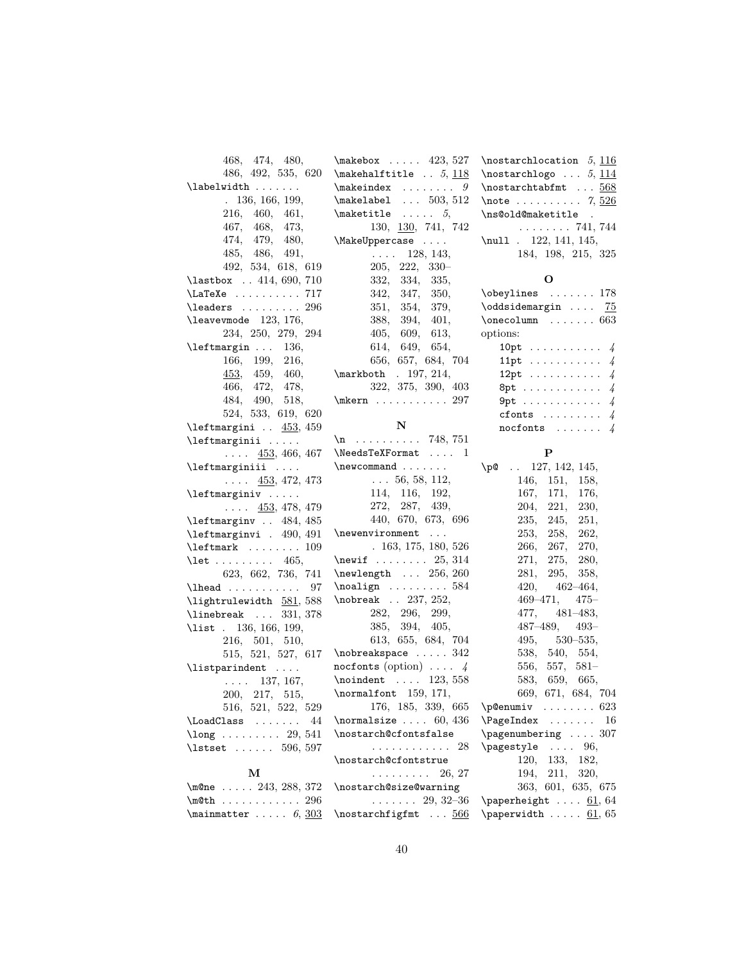| 468, 474, 480,                                                                                                                                                                                                                                                                                                                                                                                                                                                                                                                                                         |                                                    | $\text{hostarchlocation}$ 5, 116                                                     |
|------------------------------------------------------------------------------------------------------------------------------------------------------------------------------------------------------------------------------------------------------------------------------------------------------------------------------------------------------------------------------------------------------------------------------------------------------------------------------------------------------------------------------------------------------------------------|----------------------------------------------------|--------------------------------------------------------------------------------------|
| 486, 492, 535, 620                                                                                                                                                                                                                                                                                                                                                                                                                                                                                                                                                     | $\mathcal{L}$ = 423, 527<br>$\mathcal{F}$ . 5, 118 | \nostarchlogo $\ldots$ 5, 114                                                        |
| $\label{label:q:1}$                                                                                                                                                                                                                                                                                                                                                                                                                                                                                                                                                    | $\verb+\makeindex + \verb++ 9+$                    | \nostarchtabfmt  568                                                                 |
| .136, 166, 199,                                                                                                                                                                                                                                                                                                                                                                                                                                                                                                                                                        | $\mathcal{L}$ 503, 512                             | $\lambda$ : 7, $526$                                                                 |
| 216, 460, 461,                                                                                                                                                                                                                                                                                                                                                                                                                                                                                                                                                         | $\mathcal{L}$ 5,                                   | \ns@old@maketitle<br>$\mathcal{L}_{\mathbf{a}}$                                      |
| 467, 468, 473,                                                                                                                                                                                                                                                                                                                                                                                                                                                                                                                                                         | 130, 130, 741, 742                                 | . 741, 744                                                                           |
| 474, 479, 480,                                                                                                                                                                                                                                                                                                                                                                                                                                                                                                                                                         | \MakeUppercase                                     | $\nu$ 11 . 122, 141, 145,                                                            |
| 485, 486, 491,                                                                                                                                                                                                                                                                                                                                                                                                                                                                                                                                                         | $\ldots$ 128, 143,                                 | 184, 198, 215, 325                                                                   |
| 492, 534, 618, 619                                                                                                                                                                                                                                                                                                                                                                                                                                                                                                                                                     | $205, 222, 330-$                                   |                                                                                      |
| $\lambda$ astbox  414, 690, 710                                                                                                                                                                                                                                                                                                                                                                                                                                                                                                                                        | 332, 334, 335,                                     | О                                                                                    |
| \LaTeXe 717                                                                                                                                                                                                                                                                                                                                                                                                                                                                                                                                                            | 342, 347, 350,                                     | $\begin{bmatrix} \text{obsylines} & \text{c.} & \text{d.} & \text{d.} \end{bmatrix}$ |
| $\lambda$ eaders  296                                                                                                                                                                                                                                                                                                                                                                                                                                                                                                                                                  | 351, 354, 379,                                     | \oddsidemargin  75                                                                   |
| leavevmode 123, 176,                                                                                                                                                                                                                                                                                                                                                                                                                                                                                                                                                   | 388, 394,<br>401,                                  | $\onecolumn \dots 663$                                                               |
| 234, 250, 279, 294                                                                                                                                                                                                                                                                                                                                                                                                                                                                                                                                                     | 405, 609, 613,                                     | options:                                                                             |
| $\left\{\text{learningin} \dots \quad 136, \right\}$                                                                                                                                                                                                                                                                                                                                                                                                                                                                                                                   | 614, 649, 654,                                     | 10pt $\ldots \ldots \ldots$ 4                                                        |
| 166, 199, 216,                                                                                                                                                                                                                                                                                                                                                                                                                                                                                                                                                         | 656, 657, 684, 704                                 | 11pt $\sqrt{4}$                                                                      |
| 453, 459, 460,                                                                                                                                                                                                                                                                                                                                                                                                                                                                                                                                                         | \markboth . 197, 214,                              | 12pt $\ldots \ldots \ldots$ 4                                                        |
| 466, 472, 478,                                                                                                                                                                                                                                                                                                                                                                                                                                                                                                                                                         | 322, 375, 390, 403                                 | 8pt $4$                                                                              |
| 484, 490, 518,                                                                                                                                                                                                                                                                                                                                                                                                                                                                                                                                                         | $\hbox{mkern} \ldots \ldots 297$                   | $9pt \ldots \ldots \ldots \ldots \ 4$                                                |
| 524, 533, 619, 620                                                                                                                                                                                                                                                                                                                                                                                                                                                                                                                                                     |                                                    | cfonts $\ldots \ldots \ldots$                                                        |
| $\left\{ \right. \right. \left. \left. \right. \left. \right. \left. \right. \left. \right. \left. \right. \left. \right. \left. \right. \left. \right. \left. \right. \left. \right. \left. \right. \left. \right. \left. \right. \left. \right. \right. \left. \right. \left. \right. \left. \right. \left. \right. \left. \right. \left. \right. \left. \right. \left. \right. \left. \right. \left. \right. \left. \right. \left. \right. \left. \right. \left. \right. \left. \right. \left. \right. \left. \right. \left. \right. \left. \right. \left. \right.$ | N                                                  | nocfonts $\ldots \ldots$ 4                                                           |
| \leftmarginii                                                                                                                                                                                                                                                                                                                                                                                                                                                                                                                                                          | $n \ldots \ldots \ldots$ 748, 751                  |                                                                                      |
| $\ldots$ 453, 466, 467                                                                                                                                                                                                                                                                                                                                                                                                                                                                                                                                                 | $\NeedsTeV$ Format  1                              | P                                                                                    |
| \leftmarginiii                                                                                                                                                                                                                                                                                                                                                                                                                                                                                                                                                         | $\neq$ $\dots$                                     | $\pi$ . 127, 142, 145,                                                               |
| $\ldots$ 453, 472, 473                                                                                                                                                                                                                                                                                                                                                                                                                                                                                                                                                 | $\ldots$ 56, 58, 112,                              | 146, 151, 158,                                                                       |
| $\left\{ \text{tmarginiv} \dots \right\}$                                                                                                                                                                                                                                                                                                                                                                                                                                                                                                                              | 114, 116, 192,                                     | 167, 171,<br>176,                                                                    |
| $\ldots$ 453, 478, 479                                                                                                                                                                                                                                                                                                                                                                                                                                                                                                                                                 | 272, 287, 439,                                     | 221,<br>204,<br>230,                                                                 |
| \leftmarginv  484, 485                                                                                                                                                                                                                                                                                                                                                                                                                                                                                                                                                 | 440, 670, 673, 696                                 | 235, 245, 251,                                                                       |
| \leftmarginvi . 490, 491                                                                                                                                                                                                                                                                                                                                                                                                                                                                                                                                               | $\neq$                                             | 253, 258, 262,                                                                       |
| $\left\{\text{left} \dots \dots \ 109\right\}$                                                                                                                                                                                                                                                                                                                                                                                                                                                                                                                         | .163, 175, 180, 526                                | 266,<br>267,<br>270,                                                                 |
| $\text{let } \ldots \ldots \ldots \quad 465,$                                                                                                                                                                                                                                                                                                                                                                                                                                                                                                                          | \newif $25, 314$                                   | 271, 275, 280,                                                                       |
| 623, 662, 736, 741                                                                                                                                                                                                                                                                                                                                                                                                                                                                                                                                                     | $\neq$ 256, 260                                    | 281,<br>295,<br>358,                                                                 |
|                                                                                                                                                                                                                                                                                                                                                                                                                                                                                                                                                                        | $\n\Delta$ ign  584                                | $420, 462 - 464,$                                                                    |
| \lightrulewidth 581,588                                                                                                                                                                                                                                                                                                                                                                                                                                                                                                                                                | \nobreak . 237, 252,                               | 469–471,<br>$475 -$                                                                  |
| $\{\$ {linebreak \dots} 331, 378                                                                                                                                                                                                                                                                                                                                                                                                                                                                                                                                       | 282, 296, 299,                                     | 481–483,<br>477,                                                                     |
| \list . 136, 166, 199,                                                                                                                                                                                                                                                                                                                                                                                                                                                                                                                                                 | 385, 394, 405,                                     | 487–489,<br>$493-$                                                                   |
| 216, 501, 510,                                                                                                                                                                                                                                                                                                                                                                                                                                                                                                                                                         | 613, 655, 684, 704                                 | 495,<br>$530 - 535,$                                                                 |
| 515, 521, 527, 617                                                                                                                                                                                                                                                                                                                                                                                                                                                                                                                                                     | $\{nobreakspace \dots 342\}$                       | 538, 540, 554,                                                                       |
| \listparindent                                                                                                                                                                                                                                                                                                                                                                                                                                                                                                                                                         | nocfonts (option) $\ldots$ 4                       | 556, 557, 581-                                                                       |
| $\ldots$ 137, 167,                                                                                                                                                                                                                                                                                                                                                                                                                                                                                                                                                     | $\mathcal{L}$ 123, 558                             | 583,<br>659, 665,                                                                    |
| 200, 217, 515,                                                                                                                                                                                                                                                                                                                                                                                                                                                                                                                                                         | \normalfont 159, 171,                              | 669, 671, 684, 704                                                                   |
| 516, 521, 522, 529                                                                                                                                                                                                                                                                                                                                                                                                                                                                                                                                                     | 176, 185, 339, 665                                 | $\begin{array}{ccc}\n\text{p@enumiv} & \ldots & \ldots & 623\n\end{array}$           |
| \LoadClass<br>44                                                                                                                                                                                                                                                                                                                                                                                                                                                                                                                                                       | \normalsize $\ldots$ 60, 436                       | $\triangle$ PageIndex<br>- 16                                                        |
| $\lambda$ long  29, 541                                                                                                                                                                                                                                                                                                                                                                                                                                                                                                                                                | \nostarch@cfontsfalse                              | \pagenumbering  307                                                                  |
| \lstset  596, 597                                                                                                                                                                                                                                                                                                                                                                                                                                                                                                                                                      | . 28                                               | \pagestyle  96,                                                                      |
|                                                                                                                                                                                                                                                                                                                                                                                                                                                                                                                                                                        | \nostarch@cfontstrue                               | 120,<br>133, 182,                                                                    |
| м                                                                                                                                                                                                                                                                                                                                                                                                                                                                                                                                                                      | 26, 27<br>.                                        | 211,<br>194,<br>320,                                                                 |
| \m@ne $243, 288, 372$                                                                                                                                                                                                                                                                                                                                                                                                                                                                                                                                                  | \nostarch@size@warning                             | 363, 601, 635, 675                                                                   |
| $\text{\cup}296$                                                                                                                                                                                                                                                                                                                                                                                                                                                                                                                                                       | $\ldots \ldots 29, 32\text{--}36$                  | \paperheight $61, 64$                                                                |
| $\mathrm{temperature} \dots 6, \frac{303}{ }$                                                                                                                                                                                                                                                                                                                                                                                                                                                                                                                          | \nostarchfigfmt  566                               | \paperwidth $61, 65$                                                                 |
|                                                                                                                                                                                                                                                                                                                                                                                                                                                                                                                                                                        |                                                    |                                                                                      |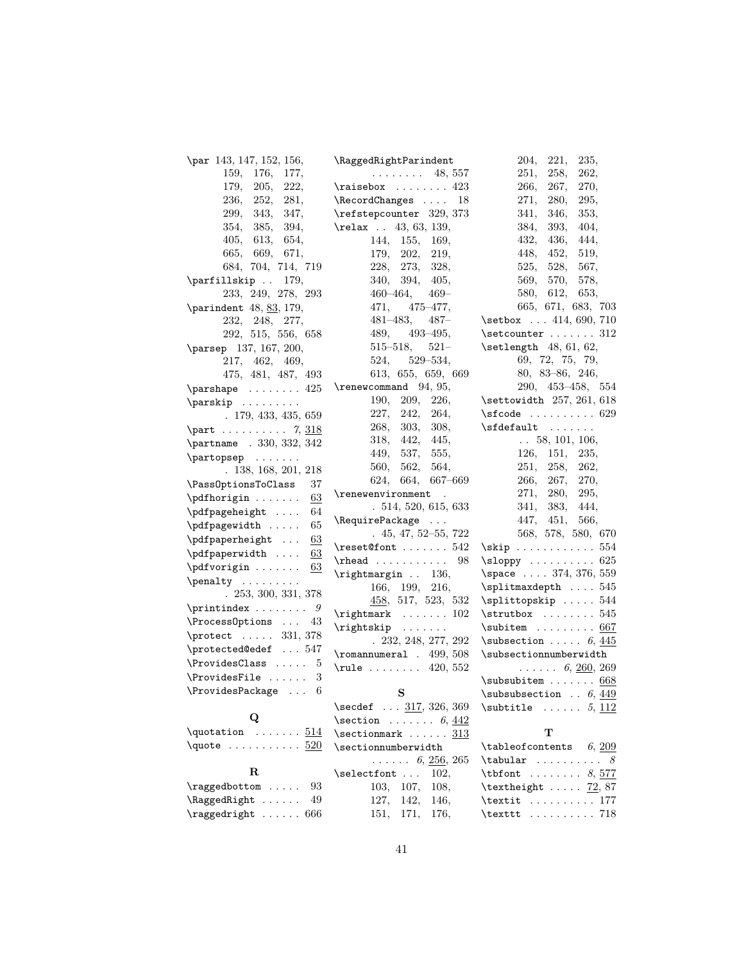| \par 143, 147, 152, 156,               | \RaggedRightParindent                     | 204,<br>221,<br>235,                                |
|----------------------------------------|-------------------------------------------|-----------------------------------------------------|
| 159,<br>176,<br>177,                   | $\ldots \ldots \ldots$ 48, 557            | 258,<br>262,<br>251,                                |
| 179,<br>222,<br>205,                   | $\raisebox \dots$                         | 270,<br>266,<br>267,                                |
| 236,<br>252,<br>281,                   | \RecordChanges  18                        | 271,<br>295,<br><b>280,</b>                         |
| 299,<br>343,<br>347,                   | \refstepcounter 329, 373                  | 341,<br>346,<br>353,                                |
| 354,<br>385,<br>394,                   | \relax . 43, 63, 139,                     | 384,<br>393,<br>404,                                |
| 405,<br>613.<br>654,                   | 144, 155,<br>169,                         | 432,<br>436,<br>444,                                |
| 669,<br>665,<br>671,                   | 179,<br>202,<br>219,                      | 448,<br>452,<br>519,                                |
| 684, 704, 714, 719                     | 273, 328,<br>228,                         | 567,<br>525,<br>528,                                |
| \parfillskip  179,                     | 340,<br>394,<br>405,                      | 569,<br>570,<br>578,                                |
| 233, 249, 278, 293                     | $460 - 464,$<br>$469-$                    | 580,<br>653,<br>612.                                |
| \parindent $48, 83, 179,$              | 471,<br>$475 - 477$ ,                     | 665, 671, 683, 703                                  |
| 248, 277,<br>232,                      | $481 - 483,$<br>$487 -$                   | \setbox  414, 690, 710                              |
| 292, 515, 556, 658                     | 489,<br>$493 - 495,$                      | \setcounter  312                                    |
| \parsep 137, 167, 200,                 | $515 - 518,$<br>$521-$                    | $\setminus$ setlength 48, 61, 62,                   |
| 217, 462, 469,                         | 524,<br>$529 - 534,$                      | 69, 72, 75, 79,                                     |
| 475, 481, 487, 493                     | 613, 655, 659, 669                        | $80, 83-86, 246,$                                   |
| $\{parshape \ldots \ldots 425\}$       | $\$ {renewcommand } 94, 95,               | 290, 453-458, 554                                   |
| $\sqrt{parskip}$                       | 209,<br>190,<br>226,                      | \settowidth 257, 261, 618                           |
| .179, 433, 435, 659                    | 227,<br>242,<br>264,                      | $\setminus$ sfcode  629                             |
| $\part  \dots 7, 318$                  | 268,<br>303,<br>308,                      | $\setminus$ sfdefault                               |
| \partname . 330, 332, 342              | 318,<br>442,<br>445,                      | $\ldots$ 58, 101, 106,                              |
| $\{\n  partopsep \ldots \ldots \n}$    | 449.<br>537,<br>555,                      | 126, 151,<br>235,                                   |
|                                        | 560,<br>562,<br>564,                      | 251,<br>258,<br>262,                                |
| .138, 168, 201, 218                    | 624, 664,<br>667–669                      | 266,<br>270,<br>267,                                |
| \Pass0ptionsToClass<br>37              | \renewenvironment<br>$\ddot{\phantom{a}}$ | 271,<br>280,<br>295,                                |
| \pdfhorigin<br>63                      | .514, 520, 615, 633                       | 341,<br>383,<br>444,                                |
| 64<br>\pdfpageheight                   | \RequirePackage                           | 447, 451,<br>566,                                   |
| 65<br>\pdfpagewidth                    | $.45, 47, 52 - 55, 722$                   | 568, 578, 580, 670                                  |
| 63<br>\pdfpaperheight                  | $\text{\textsf{Cont}} \dots \dots 542$    |                                                     |
| 63<br>\pdfpaperwidth                   | $\theta$ 98                               | $\simeq 625$                                        |
| \pdfvorigin<br>63                      | \rightmargin . 136,                       | \space  374, 376, 559                               |
| $\penalty \dots \dots$                 | 166, 199, 216,                            | \splitmaxdepth  545                                 |
| . 253, 300, 331, 378                   | $\frac{458}{517}$ , 523, 532              | \splittopskip  544                                  |
|                                        | $\rightleftharpoonup$ 102                 | $\text{ \text{strutbox} } \ldots \ldots \ldots 545$ |
| $\PrecessOptions \dots 43$             | \rightskip                                | $\sub{subitem} \ldots \ldots 667$                   |
| $\mathcal{C}$ 331, 378                 | . 232, 248, 277, 292                      | $\square$ subsection  6, 445                        |
| \protected@edef  547                   | $\Gamma$ . 499, 508                       | \subsectionnumberwidth                              |
| $\PrevidesClass  5$                    | $\text{rule}$ 420, 552                    | $\ldots \ldots 6, \underline{260}, 269$             |
| \ProvidesFile<br>3                     |                                           | $\s$ ubsubitem  668                                 |
| \ProvidesPackage<br>6                  | S                                         | \subsubsection $\therefore$ 6, 449                  |
|                                        | \secdef  317, 326, 369                    | $\sub{subtitle}$ 5, 112                             |
| Q                                      | $\setminus$ section $6, \underline{442}$  |                                                     |
| $\quotation \dots \dots \frac{514}{2}$ | $\setminus$ sectionmark  313              | т                                                   |
| $\qquad \ldots \ldots \quad 520$       | \sectionnumberwidth                       | \tableofcontents<br>6, 209                          |
|                                        | $\ldots \ldots 6, \underline{256}, 265$   | \tabular<br>. 8                                     |
| $\mathbf R$                            | \selectfont<br>102,                       | $\text{tbf} \ldots \ldots \quad 8, \frac{577}{15}$  |
| 93<br>\raggedbottom                    | 103, 107,<br>108,                         | \textheight $72,87$                                 |
| \RaggedRight<br>49                     | 127,<br>142,<br>146,                      | $\text{textit} \dots \dots 177$                     |
|                                        |                                           |                                                     |